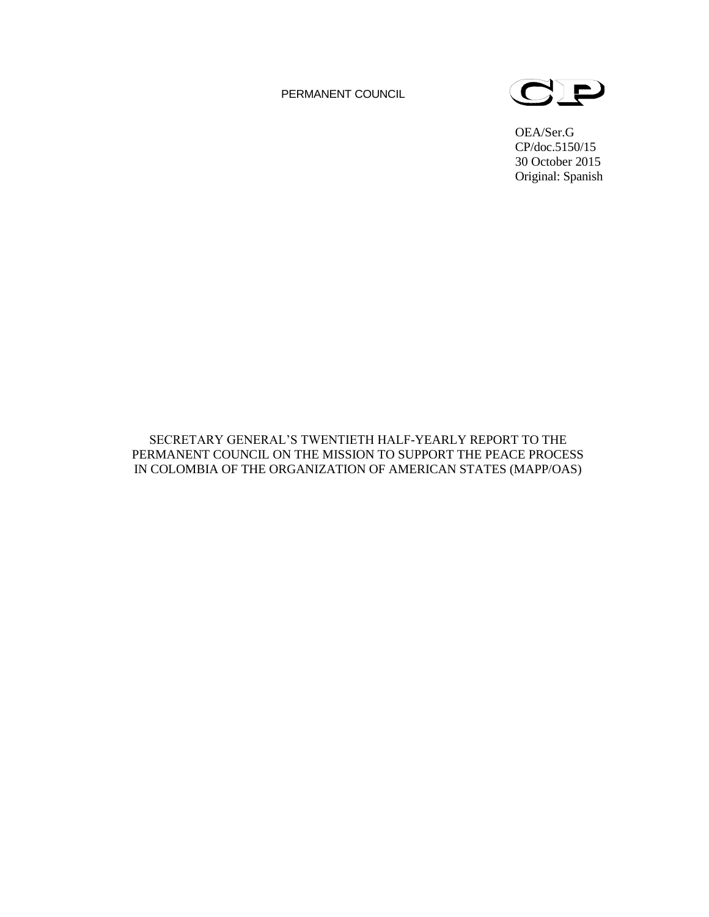PERMANENT COUNCIL



OEA/Ser.G CP/doc.5150/15 30 October 2015 Original: Spanish

SECRETARY GENERAL'S TWENTIETH HALF-YEARLY REPORT TO THE PERMANENT COUNCIL ON THE MISSION TO SUPPORT THE PEACE PROCESS IN COLOMBIA OF THE ORGANIZATION OF AMERICAN STATES (MAPP/OAS)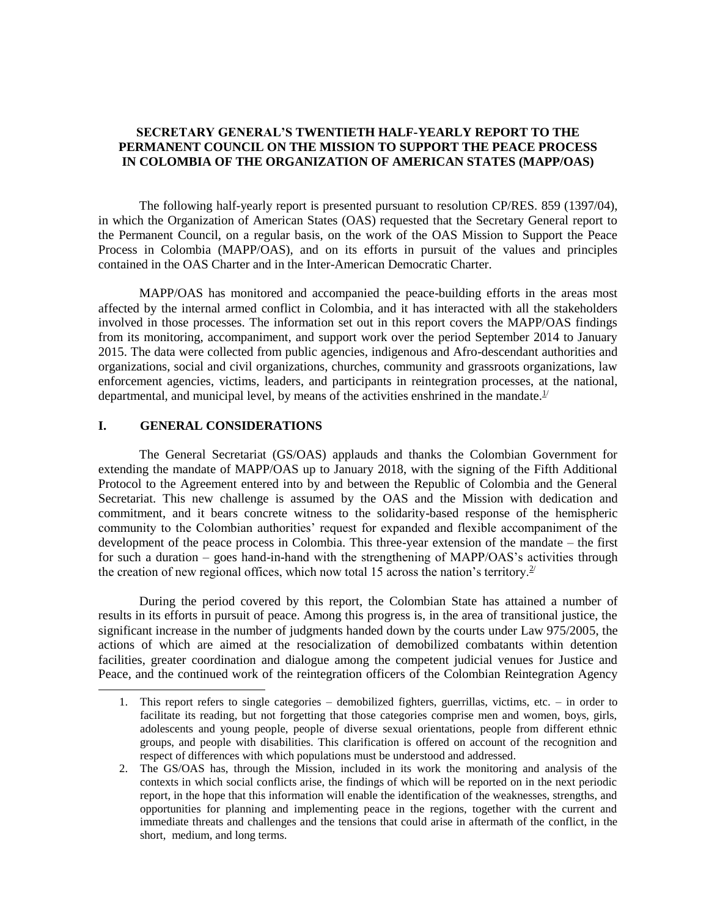# **SECRETARY GENERAL'S TWENTIETH HALF-YEARLY REPORT TO THE PERMANENT COUNCIL ON THE MISSION TO SUPPORT THE PEACE PROCESS IN COLOMBIA OF THE ORGANIZATION OF AMERICAN STATES (MAPP/OAS)**

The following half-yearly report is presented pursuant to resolution CP/RES. 859 (1397/04), in which the Organization of American States (OAS) requested that the Secretary General report to the Permanent Council, on a regular basis, on the work of the OAS Mission to Support the Peace Process in Colombia (MAPP/OAS), and on its efforts in pursuit of the values and principles contained in the OAS Charter and in the Inter-American Democratic Charter.

MAPP/OAS has monitored and accompanied the peace-building efforts in the areas most affected by the internal armed conflict in Colombia, and it has interacted with all the stakeholders involved in those processes. The information set out in this report covers the MAPP/OAS findings from its monitoring, accompaniment, and support work over the period September 2014 to January 2015. The data were collected from public agencies, indigenous and Afro-descendant authorities and organizations, social and civil organizations, churches, community and grassroots organizations, law enforcement agencies, victims, leaders, and participants in reintegration processes, at the national, departmental, and municipal level, by means of the activities enshrined in the mandate.<sup>1/</sup>

### **I. GENERAL CONSIDERATIONS**

l

The General Secretariat (GS/OAS) applauds and thanks the Colombian Government for extending the mandate of MAPP/OAS up to January 2018, with the signing of the Fifth Additional Protocol to the Agreement entered into by and between the Republic of Colombia and the General Secretariat. This new challenge is assumed by the OAS and the Mission with dedication and commitment, and it bears concrete witness to the solidarity-based response of the hemispheric community to the Colombian authorities' request for expanded and flexible accompaniment of the development of the peace process in Colombia. This three-year extension of the mandate – the first for such a duration – goes hand-in-hand with the strengthening of MAPP/OAS's activities through the creation of new regional offices, which now total 15 across the nation's territory.<sup>2/</sup>

During the period covered by this report, the Colombian State has attained a number of results in its efforts in pursuit of peace. Among this progress is, in the area of transitional justice, the significant increase in the number of judgments handed down by the courts under Law 975/2005, the actions of which are aimed at the resocialization of demobilized combatants within detention facilities, greater coordination and dialogue among the competent judicial venues for Justice and Peace, and the continued work of the reintegration officers of the Colombian Reintegration Agency

<sup>1.</sup> This report refers to single categories – demobilized fighters, guerrillas, victims, etc. – in order to facilitate its reading, but not forgetting that those categories comprise men and women, boys, girls, adolescents and young people, people of diverse sexual orientations, people from different ethnic groups, and people with disabilities. This clarification is offered on account of the recognition and respect of differences with which populations must be understood and addressed.

<sup>2.</sup> The GS/OAS has, through the Mission, included in its work the monitoring and analysis of the contexts in which social conflicts arise, the findings of which will be reported on in the next periodic report, in the hope that this information will enable the identification of the weaknesses, strengths, and opportunities for planning and implementing peace in the regions, together with the current and immediate threats and challenges and the tensions that could arise in aftermath of the conflict, in the short, medium, and long terms.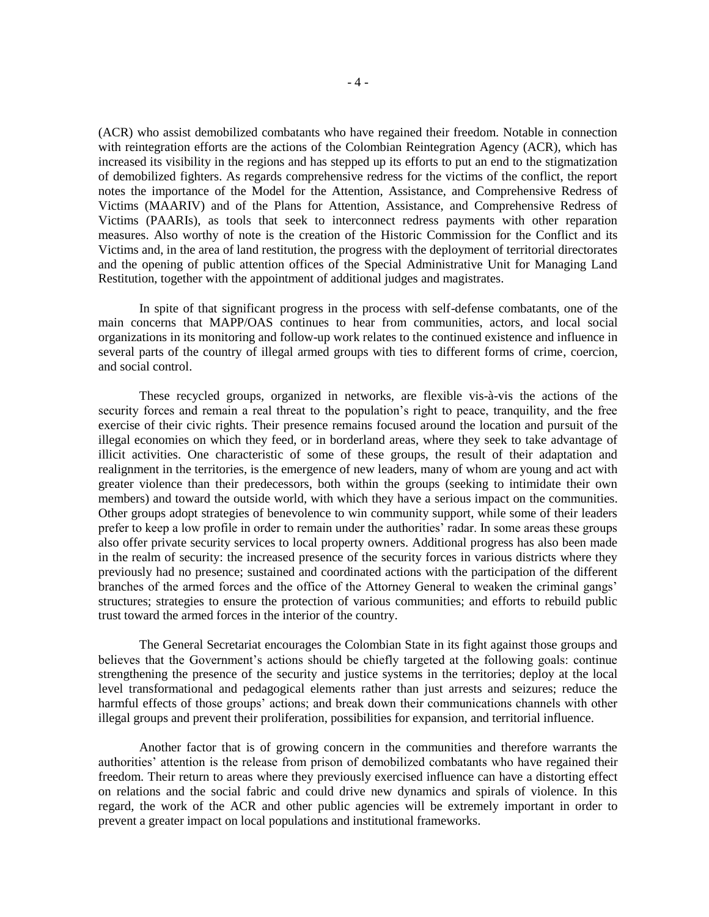(ACR) who assist demobilized combatants who have regained their freedom. Notable in connection with reintegration efforts are the actions of the Colombian Reintegration Agency (ACR), which has increased its visibility in the regions and has stepped up its efforts to put an end to the stigmatization of demobilized fighters. As regards comprehensive redress for the victims of the conflict, the report notes the importance of the Model for the Attention, Assistance, and Comprehensive Redress of Victims (MAARIV) and of the Plans for Attention, Assistance, and Comprehensive Redress of Victims (PAARIs), as tools that seek to interconnect redress payments with other reparation measures. Also worthy of note is the creation of the Historic Commission for the Conflict and its Victims and, in the area of land restitution, the progress with the deployment of territorial directorates and the opening of public attention offices of the Special Administrative Unit for Managing Land Restitution, together with the appointment of additional judges and magistrates.

In spite of that significant progress in the process with self-defense combatants, one of the main concerns that MAPP/OAS continues to hear from communities, actors, and local social organizations in its monitoring and follow-up work relates to the continued existence and influence in several parts of the country of illegal armed groups with ties to different forms of crime, coercion, and social control.

These recycled groups, organized in networks, are flexible vis-à-vis the actions of the security forces and remain a real threat to the population's right to peace, tranquility, and the free exercise of their civic rights. Their presence remains focused around the location and pursuit of the illegal economies on which they feed, or in borderland areas, where they seek to take advantage of illicit activities. One characteristic of some of these groups, the result of their adaptation and realignment in the territories, is the emergence of new leaders, many of whom are young and act with greater violence than their predecessors, both within the groups (seeking to intimidate their own members) and toward the outside world, with which they have a serious impact on the communities. Other groups adopt strategies of benevolence to win community support, while some of their leaders prefer to keep a low profile in order to remain under the authorities' radar. In some areas these groups also offer private security services to local property owners. Additional progress has also been made in the realm of security: the increased presence of the security forces in various districts where they previously had no presence; sustained and coordinated actions with the participation of the different branches of the armed forces and the office of the Attorney General to weaken the criminal gangs' structures; strategies to ensure the protection of various communities; and efforts to rebuild public trust toward the armed forces in the interior of the country.

The General Secretariat encourages the Colombian State in its fight against those groups and believes that the Government's actions should be chiefly targeted at the following goals: continue strengthening the presence of the security and justice systems in the territories; deploy at the local level transformational and pedagogical elements rather than just arrests and seizures; reduce the harmful effects of those groups' actions; and break down their communications channels with other illegal groups and prevent their proliferation, possibilities for expansion, and territorial influence.

Another factor that is of growing concern in the communities and therefore warrants the authorities' attention is the release from prison of demobilized combatants who have regained their freedom. Their return to areas where they previously exercised influence can have a distorting effect on relations and the social fabric and could drive new dynamics and spirals of violence. In this regard, the work of the ACR and other public agencies will be extremely important in order to prevent a greater impact on local populations and institutional frameworks.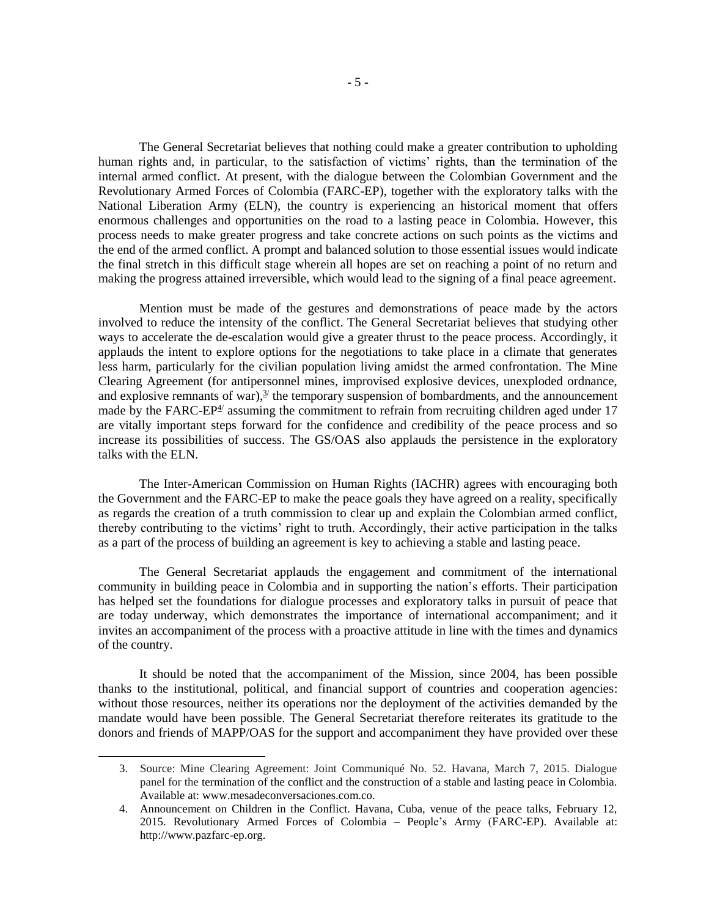The General Secretariat believes that nothing could make a greater contribution to upholding human rights and, in particular, to the satisfaction of victims' rights, than the termination of the internal armed conflict. At present, with the dialogue between the Colombian Government and the Revolutionary Armed Forces of Colombia (FARC-EP), together with the exploratory talks with the National Liberation Army (ELN), the country is experiencing an historical moment that offers enormous challenges and opportunities on the road to a lasting peace in Colombia. However, this process needs to make greater progress and take concrete actions on such points as the victims and the end of the armed conflict. A prompt and balanced solution to those essential issues would indicate the final stretch in this difficult stage wherein all hopes are set on reaching a point of no return and making the progress attained irreversible, which would lead to the signing of a final peace agreement.

Mention must be made of the gestures and demonstrations of peace made by the actors involved to reduce the intensity of the conflict. The General Secretariat believes that studying other ways to accelerate the de-escalation would give a greater thrust to the peace process. Accordingly, it applauds the intent to explore options for the negotiations to take place in a climate that generates less harm, particularly for the civilian population living amidst the armed confrontation. The Mine Clearing Agreement (for antipersonnel mines, improvised explosive devices, unexploded ordnance, and explosive remnants of war), $\frac{3}{2}$  the temporary suspension of bombardments, and the announcement made by the FARC-EP $4$ <sup>'</sup> assuming the commitment to refrain from recruiting children aged under 17 are vitally important steps forward for the confidence and credibility of the peace process and so increase its possibilities of success. The GS/OAS also applauds the persistence in the exploratory talks with the ELN.

The Inter-American Commission on Human Rights (IACHR) agrees with encouraging both the Government and the FARC-EP to make the peace goals they have agreed on a reality, specifically as regards the creation of a truth commission to clear up and explain the Colombian armed conflict, thereby contributing to the victims' right to truth. Accordingly, their active participation in the talks as a part of the process of building an agreement is key to achieving a stable and lasting peace.

The General Secretariat applauds the engagement and commitment of the international community in building peace in Colombia and in supporting the nation's efforts. Their participation has helped set the foundations for dialogue processes and exploratory talks in pursuit of peace that are today underway, which demonstrates the importance of international accompaniment; and it invites an accompaniment of the process with a proactive attitude in line with the times and dynamics of the country.

It should be noted that the accompaniment of the Mission, since 2004, has been possible thanks to the institutional, political, and financial support of countries and cooperation agencies: without those resources, neither its operations nor the deployment of the activities demanded by the mandate would have been possible. The General Secretariat therefore reiterates its gratitude to the donors and friends of MAPP/OAS for the support and accompaniment they have provided over these

<sup>3.</sup> Source: Mine Clearing Agreement: Joint Communiqué No. 52. Havana, March 7, 2015. Dialogue panel for the termination of the conflict and the construction of a stable and lasting peace in Colombia. Available at: [www.mesadeconversaciones.com.co.](http://www.mesadeconversaciones.com.co/)

<sup>4.</sup> Announcement on Children in the Conflict. Havana, Cuba, venue of the peace talks, February 12, 2015. Revolutionary Armed Forces of Colombia – People's Army (FARC-EP). Available at: http://www.pazfarc-ep.org.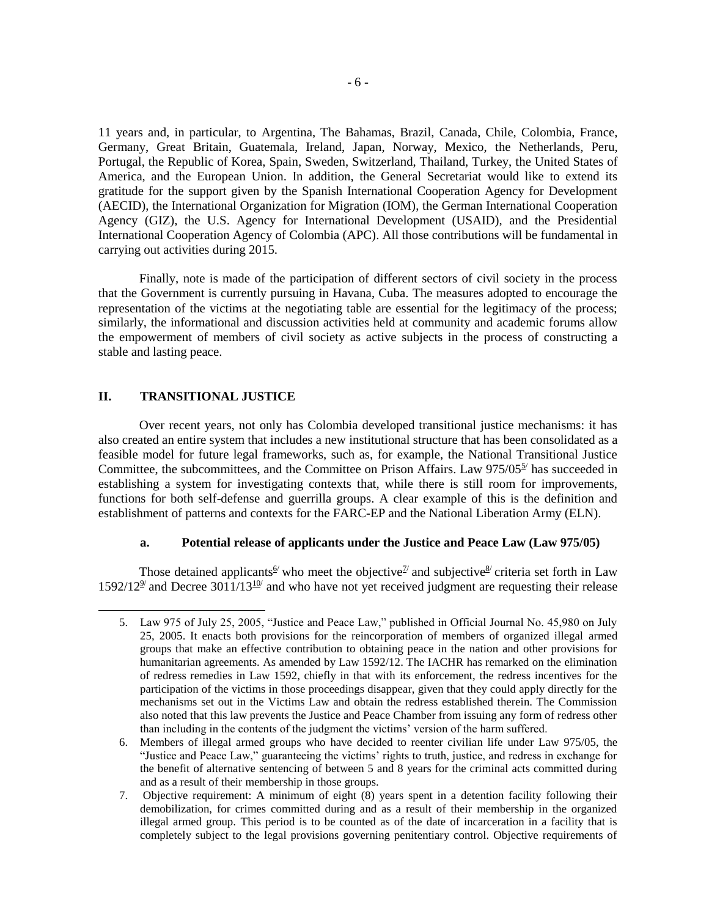11 years and, in particular, to Argentina, The Bahamas, Brazil, Canada, Chile, Colombia, France, Germany, Great Britain, Guatemala, Ireland, Japan, Norway, Mexico, the Netherlands, Peru, Portugal, the Republic of Korea, Spain, Sweden, Switzerland, Thailand, Turkey, the United States of America, and the European Union. In addition, the General Secretariat would like to extend its gratitude for the support given by the Spanish International Cooperation Agency for Development (AECID), the International Organization for Migration (IOM), the German International Cooperation Agency (GIZ), the U.S. Agency for International Development (USAID), and the Presidential International Cooperation Agency of Colombia (APC). All those contributions will be fundamental in carrying out activities during 2015.

Finally, note is made of the participation of different sectors of civil society in the process that the Government is currently pursuing in Havana, Cuba. The measures adopted to encourage the representation of the victims at the negotiating table are essential for the legitimacy of the process; similarly, the informational and discussion activities held at community and academic forums allow the empowerment of members of civil society as active subjects in the process of constructing a stable and lasting peace.

### **II. TRANSITIONAL JUSTICE**

l

Over recent years, not only has Colombia developed transitional justice mechanisms: it has also created an entire system that includes a new institutional structure that has been consolidated as a feasible model for future legal frameworks, such as, for example, the National Transitional Justice Committee, the subcommittees, and the Committee on Prison Affairs. Law  $975/05^5$  has succeeded in establishing a system for investigating contexts that, while there is still room for improvements, functions for both self-defense and guerrilla groups. A clear example of this is the definition and establishment of patterns and contexts for the FARC-EP and the National Liberation Army (ELN).

### **a. Potential release of applicants under the Justice and Peace Law (Law 975/05)**

Those detained applicants *of* who meet the objective and subjective *s* criteria set forth in Law  $1592/12<sup>9</sup>$  and Decree 3011/13<sup>10</sup>/ and who have not yet received judgment are requesting their release

<sup>5.</sup> Law 975 of July 25, 2005, "Justice and Peace Law," published in Official Journal No. 45,980 on July 25, 2005. It enacts both provisions for the reincorporation of members of organized illegal armed groups that make an effective contribution to obtaining peace in the nation and other provisions for humanitarian agreements. As amended by Law 1592/12. The IACHR has remarked on the elimination of redress remedies in Law 1592, chiefly in that with its enforcement, the redress incentives for the participation of the victims in those proceedings disappear, given that they could apply directly for the mechanisms set out in the Victims Law and obtain the redress established therein. The Commission also noted that this law prevents the Justice and Peace Chamber from issuing any form of redress other than including in the contents of the judgment the victims' version of the harm suffered.

<sup>6.</sup> Members of illegal armed groups who have decided to reenter civilian life under Law 975/05, the "Justice and Peace Law," guaranteeing the victims' rights to truth, justice, and redress in exchange for the benefit of alternative sentencing of between 5 and 8 years for the criminal acts committed during and as a result of their membership in those groups.

<sup>7.</sup> Objective requirement: A minimum of eight (8) years spent in a detention facility following their demobilization, for crimes committed during and as a result of their membership in the organized illegal armed group. This period is to be counted as of the date of incarceration in a facility that is completely subject to the legal provisions governing penitentiary control. Objective requirements of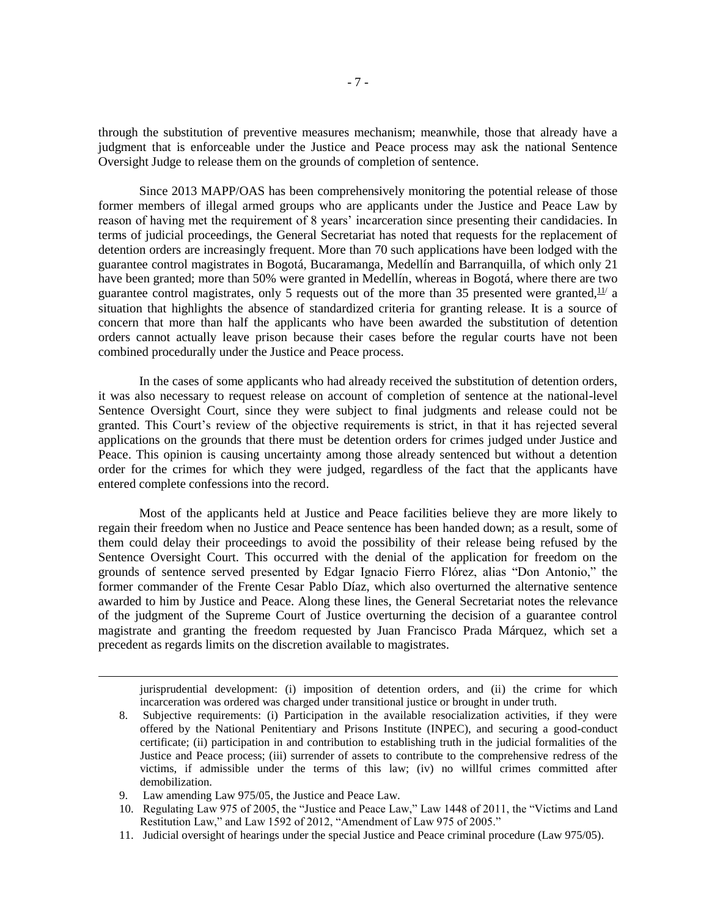through the substitution of preventive measures mechanism; meanwhile, those that already have a judgment that is enforceable under the Justice and Peace process may ask the national Sentence Oversight Judge to release them on the grounds of completion of sentence.

Since 2013 MAPP/OAS has been comprehensively monitoring the potential release of those former members of illegal armed groups who are applicants under the Justice and Peace Law by reason of having met the requirement of 8 years' incarceration since presenting their candidacies. In terms of judicial proceedings, the General Secretariat has noted that requests for the replacement of detention orders are increasingly frequent. More than 70 such applications have been lodged with the guarantee control magistrates in Bogotá, Bucaramanga, Medellín and Barranquilla, of which only 21 have been granted; more than 50% were granted in Medellín, whereas in Bogotá, where there are two guarantee control magistrates, only 5 requests out of the more than 35 presented were granted,  $11/2$  a situation that highlights the absence of standardized criteria for granting release. It is a source of concern that more than half the applicants who have been awarded the substitution of detention orders cannot actually leave prison because their cases before the regular courts have not been combined procedurally under the Justice and Peace process.

In the cases of some applicants who had already received the substitution of detention orders, it was also necessary to request release on account of completion of sentence at the national-level Sentence Oversight Court, since they were subject to final judgments and release could not be granted. This Court's review of the objective requirements is strict, in that it has rejected several applications on the grounds that there must be detention orders for crimes judged under Justice and Peace. This opinion is causing uncertainty among those already sentenced but without a detention order for the crimes for which they were judged, regardless of the fact that the applicants have entered complete confessions into the record.

Most of the applicants held at Justice and Peace facilities believe they are more likely to regain their freedom when no Justice and Peace sentence has been handed down; as a result, some of them could delay their proceedings to avoid the possibility of their release being refused by the Sentence Oversight Court. This occurred with the denial of the application for freedom on the grounds of sentence served presented by Edgar Ignacio Fierro Flórez, alias "Don Antonio," the former commander of the Frente Cesar Pablo Díaz, which also overturned the alternative sentence awarded to him by Justice and Peace. Along these lines, the General Secretariat notes the relevance of the judgment of the Supreme Court of Justice overturning the decision of a guarantee control magistrate and granting the freedom requested by Juan Francisco Prada Márquez, which set a precedent as regards limits on the discretion available to magistrates.

jurisprudential development: (i) imposition of detention orders, and (ii) the crime for which incarceration was ordered was charged under transitional justice or brought in under truth.

- 8. Subjective requirements: (i) Participation in the available resocialization activities, if they were offered by the National Penitentiary and Prisons Institute (INPEC), and securing a good-conduct certificate; (ii) participation in and contribution to establishing truth in the judicial formalities of the Justice and Peace process; (iii) surrender of assets to contribute to the comprehensive redress of the victims, if admissible under the terms of this law; (iv) no willful crimes committed after demobilization.
- 9. Law amending Law 975/05, the Justice and Peace Law.

- 10. Regulating Law 975 of 2005, the "Justice and Peace Law," Law 1448 of 2011, the "Victims and Land Restitution Law," and Law 1592 of 2012, "Amendment of Law 975 of 2005."
- 11. Judicial oversight of hearings under the special Justice and Peace criminal procedure (Law 975/05).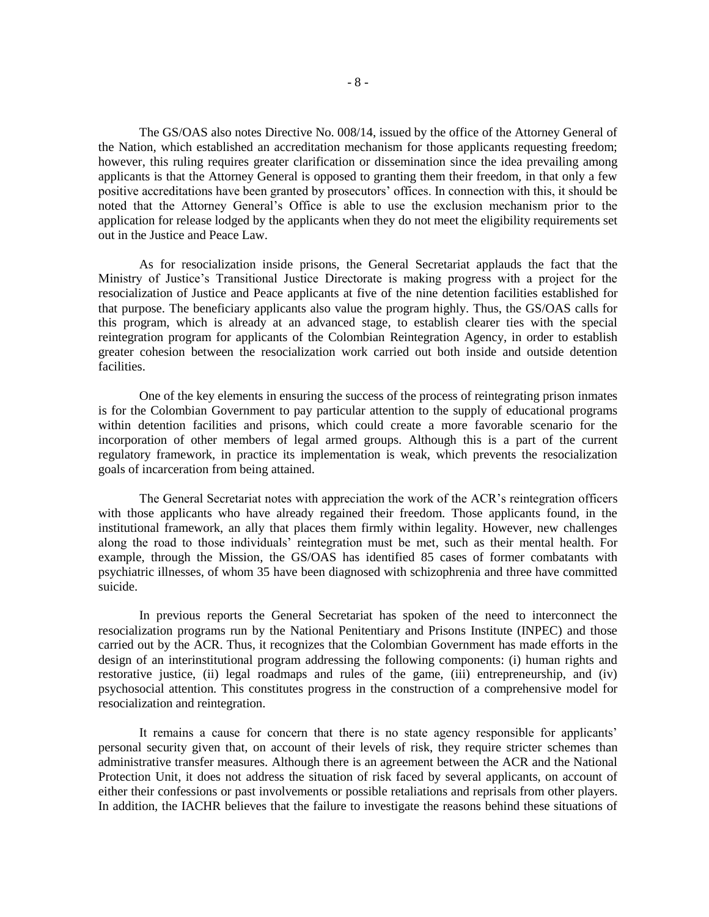The GS/OAS also notes Directive No. 008/14, issued by the office of the Attorney General of the Nation, which established an accreditation mechanism for those applicants requesting freedom; however, this ruling requires greater clarification or dissemination since the idea prevailing among applicants is that the Attorney General is opposed to granting them their freedom, in that only a few positive accreditations have been granted by prosecutors' offices. In connection with this, it should be noted that the Attorney General's Office is able to use the exclusion mechanism prior to the application for release lodged by the applicants when they do not meet the eligibility requirements set out in the Justice and Peace Law.

As for resocialization inside prisons, the General Secretariat applauds the fact that the Ministry of Justice's Transitional Justice Directorate is making progress with a project for the resocialization of Justice and Peace applicants at five of the nine detention facilities established for that purpose. The beneficiary applicants also value the program highly. Thus, the GS/OAS calls for this program, which is already at an advanced stage, to establish clearer ties with the special reintegration program for applicants of the Colombian Reintegration Agency, in order to establish greater cohesion between the resocialization work carried out both inside and outside detention facilities.

One of the key elements in ensuring the success of the process of reintegrating prison inmates is for the Colombian Government to pay particular attention to the supply of educational programs within detention facilities and prisons, which could create a more favorable scenario for the incorporation of other members of legal armed groups. Although this is a part of the current regulatory framework, in practice its implementation is weak, which prevents the resocialization goals of incarceration from being attained.

The General Secretariat notes with appreciation the work of the ACR's reintegration officers with those applicants who have already regained their freedom. Those applicants found, in the institutional framework, an ally that places them firmly within legality. However, new challenges along the road to those individuals' reintegration must be met, such as their mental health. For example, through the Mission, the GS/OAS has identified 85 cases of former combatants with psychiatric illnesses, of whom 35 have been diagnosed with schizophrenia and three have committed suicide.

In previous reports the General Secretariat has spoken of the need to interconnect the resocialization programs run by the National Penitentiary and Prisons Institute (INPEC) and those carried out by the ACR. Thus, it recognizes that the Colombian Government has made efforts in the design of an interinstitutional program addressing the following components: (i) human rights and restorative justice, (ii) legal roadmaps and rules of the game, (iii) entrepreneurship, and (iv) psychosocial attention. This constitutes progress in the construction of a comprehensive model for resocialization and reintegration.

It remains a cause for concern that there is no state agency responsible for applicants' personal security given that, on account of their levels of risk, they require stricter schemes than administrative transfer measures. Although there is an agreement between the ACR and the National Protection Unit, it does not address the situation of risk faced by several applicants, on account of either their confessions or past involvements or possible retaliations and reprisals from other players. In addition, the IACHR believes that the failure to investigate the reasons behind these situations of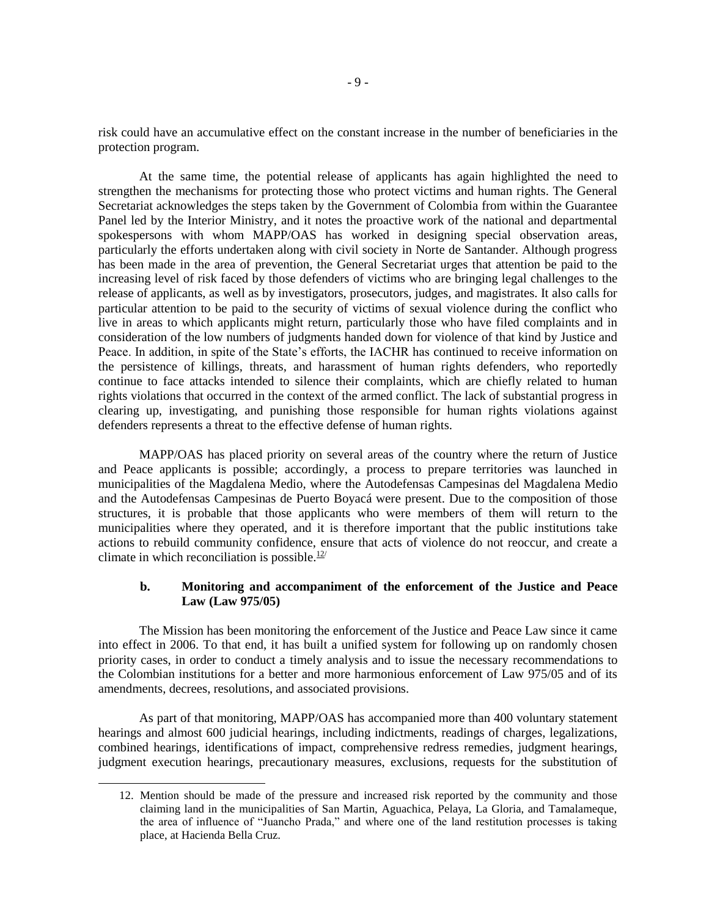risk could have an accumulative effect on the constant increase in the number of beneficiaries in the protection program.

At the same time, the potential release of applicants has again highlighted the need to strengthen the mechanisms for protecting those who protect victims and human rights. The General Secretariat acknowledges the steps taken by the Government of Colombia from within the Guarantee Panel led by the Interior Ministry, and it notes the proactive work of the national and departmental spokespersons with whom MAPP/OAS has worked in designing special observation areas, particularly the efforts undertaken along with civil society in Norte de Santander. Although progress has been made in the area of prevention, the General Secretariat urges that attention be paid to the increasing level of risk faced by those defenders of victims who are bringing legal challenges to the release of applicants, as well as by investigators, prosecutors, judges, and magistrates. It also calls for particular attention to be paid to the security of victims of sexual violence during the conflict who live in areas to which applicants might return, particularly those who have filed complaints and in consideration of the low numbers of judgments handed down for violence of that kind by Justice and Peace. In addition, in spite of the State's efforts, the IACHR has continued to receive information on the persistence of killings, threats, and harassment of human rights defenders, who reportedly continue to face attacks intended to silence their complaints, which are chiefly related to human rights violations that occurred in the context of the armed conflict. The lack of substantial progress in clearing up, investigating, and punishing those responsible for human rights violations against defenders represents a threat to the effective defense of human rights.

MAPP/OAS has placed priority on several areas of the country where the return of Justice and Peace applicants is possible; accordingly, a process to prepare territories was launched in municipalities of the Magdalena Medio, where the Autodefensas Campesinas del Magdalena Medio and the Autodefensas Campesinas de Puerto Boyacá were present. Due to the composition of those structures, it is probable that those applicants who were members of them will return to the municipalities where they operated, and it is therefore important that the public institutions take actions to rebuild community confidence, ensure that acts of violence do not reoccur, and create a climate in which reconciliation is possible. $12$ /

#### **b. Monitoring and accompaniment of the enforcement of the Justice and Peace Law (Law 975/05)**

The Mission has been monitoring the enforcement of the Justice and Peace Law since it came into effect in 2006. To that end, it has built a unified system for following up on randomly chosen priority cases, in order to conduct a timely analysis and to issue the necessary recommendations to the Colombian institutions for a better and more harmonious enforcement of Law 975/05 and of its amendments, decrees, resolutions, and associated provisions.

As part of that monitoring, MAPP/OAS has accompanied more than 400 voluntary statement hearings and almost 600 judicial hearings, including indictments, readings of charges, legalizations, combined hearings, identifications of impact, comprehensive redress remedies, judgment hearings, judgment execution hearings, precautionary measures, exclusions, requests for the substitution of

<sup>12.</sup> Mention should be made of the pressure and increased risk reported by the community and those claiming land in the municipalities of San Martin, Aguachica, Pelaya, La Gloria, and Tamalameque, the area of influence of "Juancho Prada," and where one of the land restitution processes is taking place, at Hacienda Bella Cruz.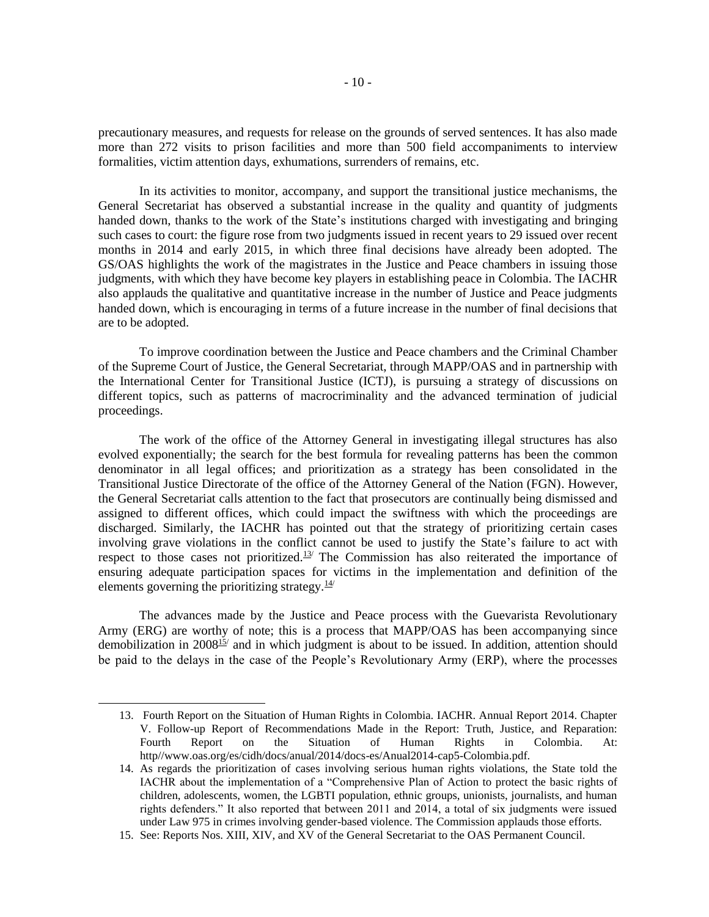precautionary measures, and requests for release on the grounds of served sentences. It has also made more than 272 visits to prison facilities and more than 500 field accompaniments to interview formalities, victim attention days, exhumations, surrenders of remains, etc.

In its activities to monitor, accompany, and support the transitional justice mechanisms, the General Secretariat has observed a substantial increase in the quality and quantity of judgments handed down, thanks to the work of the State's institutions charged with investigating and bringing such cases to court: the figure rose from two judgments issued in recent years to 29 issued over recent months in 2014 and early 2015, in which three final decisions have already been adopted. The GS/OAS highlights the work of the magistrates in the Justice and Peace chambers in issuing those judgments, with which they have become key players in establishing peace in Colombia. The IACHR also applauds the qualitative and quantitative increase in the number of Justice and Peace judgments handed down, which is encouraging in terms of a future increase in the number of final decisions that are to be adopted.

To improve coordination between the Justice and Peace chambers and the Criminal Chamber of the Supreme Court of Justice, the General Secretariat, through MAPP/OAS and in partnership with the International Center for Transitional Justice (ICTJ), is pursuing a strategy of discussions on different topics, such as patterns of macrocriminality and the advanced termination of judicial proceedings.

The work of the office of the Attorney General in investigating illegal structures has also evolved exponentially; the search for the best formula for revealing patterns has been the common denominator in all legal offices; and prioritization as a strategy has been consolidated in the Transitional Justice Directorate of the office of the Attorney General of the Nation (FGN). However, the General Secretariat calls attention to the fact that prosecutors are continually being dismissed and assigned to different offices, which could impact the swiftness with which the proceedings are discharged. Similarly, the IACHR has pointed out that the strategy of prioritizing certain cases involving grave violations in the conflict cannot be used to justify the State's failure to act with respect to those cases not prioritized.13/ The Commission has also reiterated the importance of ensuring adequate participation spaces for victims in the implementation and definition of the elements governing the prioritizing strategy. $\frac{14}{1}$ 

The advances made by the Justice and Peace process with the Guevarista Revolutionary Army (ERG) are worthy of note; this is a process that MAPP/OAS has been accompanying since demobilization in 2008<sup>15/</sup> and in which judgment is about to be issued. In addition, attention should be paid to the delays in the case of the People's Revolutionary Army (ERP), where the processes

<sup>13.</sup> Fourth Report on the Situation of Human Rights in Colombia. IACHR. Annual Report 2014. Chapter V. Follow-up Report of Recommendations Made in the Report: Truth, Justice, and Reparation: Fourth Report on the Situation of Human Rights in Colombia. At: http//www.oas.org/es/cidh/docs/anual/2014/docs-es/Anual2014-cap5-Colombia.pdf.

<sup>14.</sup> As regards the prioritization of cases involving serious human rights violations, the State told the IACHR about the implementation of a "Comprehensive Plan of Action to protect the basic rights of children, adolescents, women, the LGBTI population, ethnic groups, unionists, journalists, and human rights defenders." It also reported that between 2011 and 2014, a total of six judgments were issued under Law 975 in crimes involving gender-based violence. The Commission applauds those efforts.

<sup>15.</sup> See: Reports Nos. XIII, XIV, and XV of the General Secretariat to the OAS Permanent Council.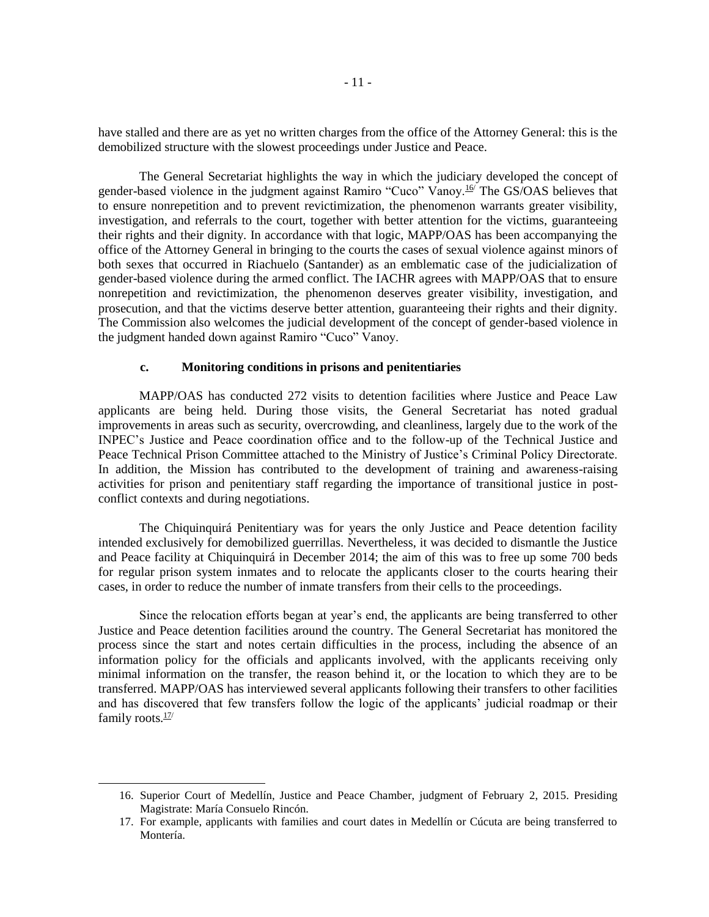have stalled and there are as yet no written charges from the office of the Attorney General: this is the demobilized structure with the slowest proceedings under Justice and Peace.

The General Secretariat highlights the way in which the judiciary developed the concept of gender-based violence in the judgment against Ramiro "Cuco" Vanoy.<sup>16</sup> The GS/OAS believes that to ensure nonrepetition and to prevent revictimization, the phenomenon warrants greater visibility, investigation, and referrals to the court, together with better attention for the victims, guaranteeing their rights and their dignity. In accordance with that logic, MAPP/OAS has been accompanying the office of the Attorney General in bringing to the courts the cases of sexual violence against minors of both sexes that occurred in Riachuelo (Santander) as an emblematic case of the judicialization of gender-based violence during the armed conflict. The IACHR agrees with MAPP/OAS that to ensure nonrepetition and revictimization, the phenomenon deserves greater visibility, investigation, and prosecution, and that the victims deserve better attention, guaranteeing their rights and their dignity. The Commission also welcomes the judicial development of the concept of gender-based violence in the judgment handed down against Ramiro "Cuco" Vanoy.

#### **c. Monitoring conditions in prisons and penitentiaries**

MAPP/OAS has conducted 272 visits to detention facilities where Justice and Peace Law applicants are being held. During those visits, the General Secretariat has noted gradual improvements in areas such as security, overcrowding, and cleanliness, largely due to the work of the INPEC's Justice and Peace coordination office and to the follow-up of the Technical Justice and Peace Technical Prison Committee attached to the Ministry of Justice's Criminal Policy Directorate. In addition, the Mission has contributed to the development of training and awareness-raising activities for prison and penitentiary staff regarding the importance of transitional justice in postconflict contexts and during negotiations.

The Chiquinquirá Penitentiary was for years the only Justice and Peace detention facility intended exclusively for demobilized guerrillas. Nevertheless, it was decided to dismantle the Justice and Peace facility at Chiquinquirá in December 2014; the aim of this was to free up some 700 beds for regular prison system inmates and to relocate the applicants closer to the courts hearing their cases, in order to reduce the number of inmate transfers from their cells to the proceedings.

Since the relocation efforts began at year's end, the applicants are being transferred to other Justice and Peace detention facilities around the country. The General Secretariat has monitored the process since the start and notes certain difficulties in the process, including the absence of an information policy for the officials and applicants involved, with the applicants receiving only minimal information on the transfer, the reason behind it, or the location to which they are to be transferred. MAPP/OAS has interviewed several applicants following their transfers to other facilities and has discovered that few transfers follow the logic of the applicants' judicial roadmap or their family roots. $\frac{17}{1}$ 

<sup>16.</sup> Superior Court of Medellín, Justice and Peace Chamber, judgment of February 2, 2015. Presiding Magistrate: María Consuelo Rincón.

<sup>17.</sup> For example, applicants with families and court dates in Medellín or Cúcuta are being transferred to Montería.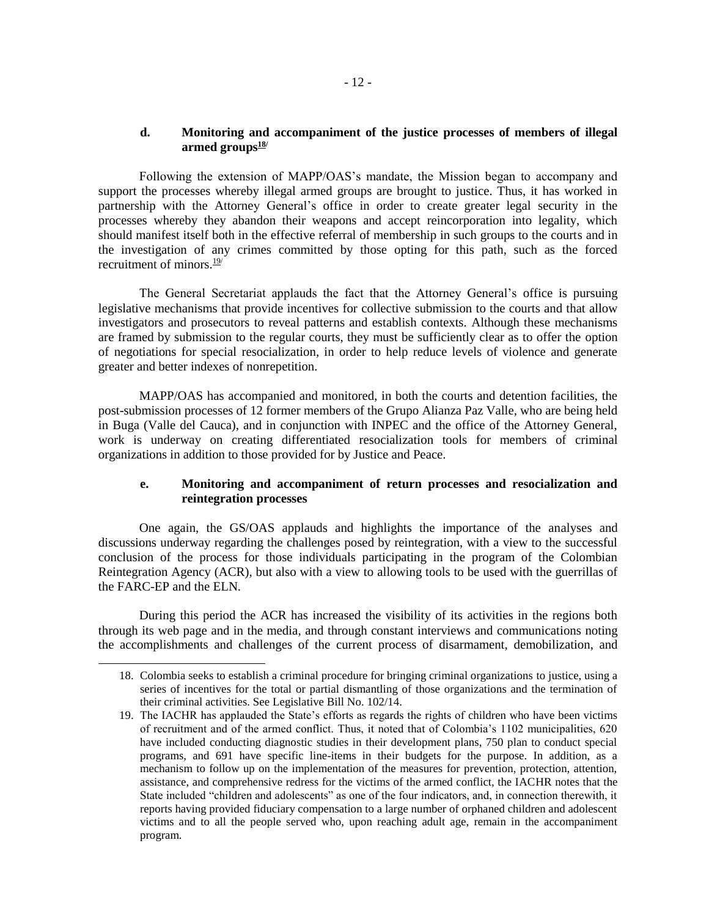### **d. Monitoring and accompaniment of the justice processes of members of illegal armed groups18/**

Following the extension of MAPP/OAS's mandate, the Mission began to accompany and support the processes whereby illegal armed groups are brought to justice. Thus, it has worked in partnership with the Attorney General's office in order to create greater legal security in the processes whereby they abandon their weapons and accept reincorporation into legality, which should manifest itself both in the effective referral of membership in such groups to the courts and in the investigation of any crimes committed by those opting for this path, such as the forced recruitment of minors  $\frac{19}{1}$ 

The General Secretariat applauds the fact that the Attorney General's office is pursuing legislative mechanisms that provide incentives for collective submission to the courts and that allow investigators and prosecutors to reveal patterns and establish contexts. Although these mechanisms are framed by submission to the regular courts, they must be sufficiently clear as to offer the option of negotiations for special resocialization, in order to help reduce levels of violence and generate greater and better indexes of nonrepetition.

MAPP/OAS has accompanied and monitored, in both the courts and detention facilities, the post-submission processes of 12 former members of the Grupo Alianza Paz Valle, who are being held in Buga (Valle del Cauca), and in conjunction with INPEC and the office of the Attorney General, work is underway on creating differentiated resocialization tools for members of criminal organizations in addition to those provided for by Justice and Peace.

# **e. Monitoring and accompaniment of return processes and resocialization and reintegration processes**

One again, the GS/OAS applauds and highlights the importance of the analyses and discussions underway regarding the challenges posed by reintegration, with a view to the successful conclusion of the process for those individuals participating in the program of the Colombian Reintegration Agency (ACR), but also with a view to allowing tools to be used with the guerrillas of the FARC-EP and the ELN.

During this period the ACR has increased the visibility of its activities in the regions both through its web page and in the media, and through constant interviews and communications noting the accomplishments and challenges of the current process of disarmament, demobilization, and

<sup>18.</sup> Colombia seeks to establish a criminal procedure for bringing criminal organizations to justice, using a series of incentives for the total or partial dismantling of those organizations and the termination of their criminal activities. See Legislative Bill No. 102/14.

<sup>19.</sup> The IACHR has applauded the State's efforts as regards the rights of children who have been victims of recruitment and of the armed conflict. Thus, it noted that of Colombia's 1102 municipalities, 620 have included conducting diagnostic studies in their development plans, 750 plan to conduct special programs, and 691 have specific line-items in their budgets for the purpose. In addition, as a mechanism to follow up on the implementation of the measures for prevention, protection, attention, assistance, and comprehensive redress for the victims of the armed conflict, the IACHR notes that the State included "children and adolescents" as one of the four indicators, and, in connection therewith, it reports having provided fiduciary compensation to a large number of orphaned children and adolescent victims and to all the people served who, upon reaching adult age, remain in the accompaniment program.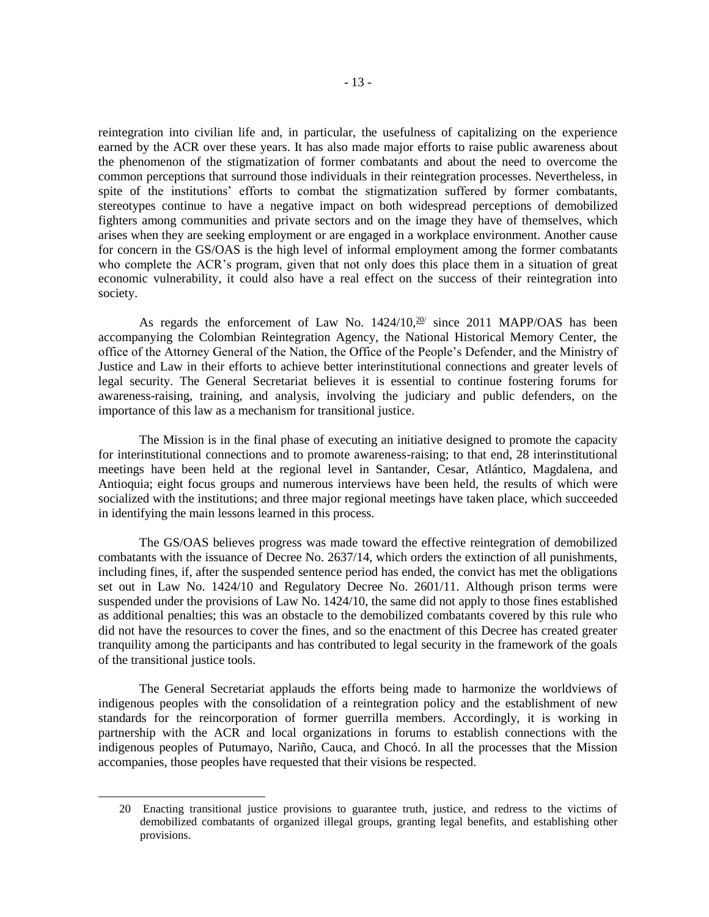reintegration into civilian life and, in particular, the usefulness of capitalizing on the experience earned by the ACR over these years. It has also made major efforts to raise public awareness about the phenomenon of the stigmatization of former combatants and about the need to overcome the common perceptions that surround those individuals in their reintegration processes. Nevertheless, in spite of the institutions' efforts to combat the stigmatization suffered by former combatants, stereotypes continue to have a negative impact on both widespread perceptions of demobilized fighters among communities and private sectors and on the image they have of themselves, which arises when they are seeking employment or are engaged in a workplace environment. Another cause for concern in the GS/OAS is the high level of informal employment among the former combatants who complete the ACR's program, given that not only does this place them in a situation of great economic vulnerability, it could also have a real effect on the success of their reintegration into society.

As regards the enforcement of Law No.  $1424/10$ ,  $20/20$  since 2011 MAPP/OAS has been accompanying the Colombian Reintegration Agency, the National Historical Memory Center, the office of the Attorney General of the Nation, the Office of the People's Defender, and the Ministry of Justice and Law in their efforts to achieve better interinstitutional connections and greater levels of legal security. The General Secretariat believes it is essential to continue fostering forums for awareness-raising, training, and analysis, involving the judiciary and public defenders, on the importance of this law as a mechanism for transitional justice.

The Mission is in the final phase of executing an initiative designed to promote the capacity for interinstitutional connections and to promote awareness-raising; to that end, 28 interinstitutional meetings have been held at the regional level in Santander, Cesar, Atlántico, Magdalena, and Antioquia; eight focus groups and numerous interviews have been held, the results of which were socialized with the institutions; and three major regional meetings have taken place, which succeeded in identifying the main lessons learned in this process.

The GS/OAS believes progress was made toward the effective reintegration of demobilized combatants with the issuance of Decree No. 2637/14, which orders the extinction of all punishments, including fines, if, after the suspended sentence period has ended, the convict has met the obligations set out in Law No. 1424/10 and Regulatory Decree No. 2601/11. Although prison terms were suspended under the provisions of Law No. 1424/10, the same did not apply to those fines established as additional penalties; this was an obstacle to the demobilized combatants covered by this rule who did not have the resources to cover the fines, and so the enactment of this Decree has created greater tranquility among the participants and has contributed to legal security in the framework of the goals of the transitional justice tools.

The General Secretariat applauds the efforts being made to harmonize the worldviews of indigenous peoples with the consolidation of a reintegration policy and the establishment of new standards for the reincorporation of former guerrilla members. Accordingly, it is working in partnership with the ACR and local organizations in forums to establish connections with the indigenous peoples of Putumayo, Nariño, Cauca, and Chocó. In all the processes that the Mission accompanies, those peoples have requested that their visions be respected.

<sup>20</sup> Enacting transitional justice provisions to guarantee truth, justice, and redress to the victims of demobilized combatants of organized illegal groups, granting legal benefits, and establishing other provisions.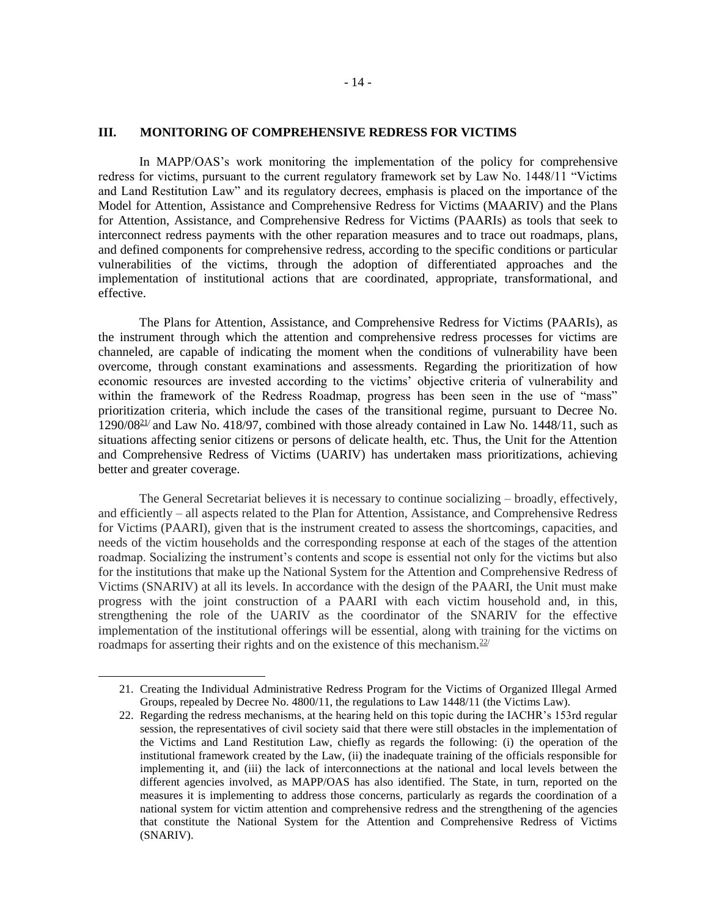#### **III. MONITORING OF COMPREHENSIVE REDRESS FOR VICTIMS**

In MAPP/OAS's work monitoring the implementation of the policy for comprehensive redress for victims, pursuant to the current regulatory framework set by Law No. 1448/11 "Victims and Land Restitution Law" and its regulatory decrees, emphasis is placed on the importance of the Model for Attention, Assistance and Comprehensive Redress for Victims (MAARIV) and the Plans for Attention, Assistance, and Comprehensive Redress for Victims (PAARIs) as tools that seek to interconnect redress payments with the other reparation measures and to trace out roadmaps, plans, and defined components for comprehensive redress, according to the specific conditions or particular vulnerabilities of the victims, through the adoption of differentiated approaches and the implementation of institutional actions that are coordinated, appropriate, transformational, and effective.

The Plans for Attention, Assistance, and Comprehensive Redress for Victims (PAARIs), as the instrument through which the attention and comprehensive redress processes for victims are channeled, are capable of indicating the moment when the conditions of vulnerability have been overcome, through constant examinations and assessments. Regarding the prioritization of how economic resources are invested according to the victims' objective criteria of vulnerability and within the framework of the Redress Roadmap, progress has been seen in the use of "mass" prioritization criteria, which include the cases of the transitional regime, pursuant to Decree No. 1290/0821/ and Law No. 418/97, combined with those already contained in Law No. 1448/11, such as situations affecting senior citizens or persons of delicate health, etc. Thus, the Unit for the Attention and Comprehensive Redress of Victims (UARIV) has undertaken mass prioritizations, achieving better and greater coverage.

The General Secretariat believes it is necessary to continue socializing – broadly, effectively, and efficiently – all aspects related to the Plan for Attention, Assistance, and Comprehensive Redress for Victims (PAARI), given that is the instrument created to assess the shortcomings, capacities, and needs of the victim households and the corresponding response at each of the stages of the attention roadmap. Socializing the instrument's contents and scope is essential not only for the victims but also for the institutions that make up the National System for the Attention and Comprehensive Redress of Victims (SNARIV) at all its levels. In accordance with the design of the PAARI, the Unit must make progress with the joint construction of a PAARI with each victim household and, in this, strengthening the role of the UARIV as the coordinator of the SNARIV for the effective implementation of the institutional offerings will be essential, along with training for the victims on roadmaps for asserting their rights and on the existence of this mechanism.  $22$ 

<sup>21.</sup> Creating the Individual Administrative Redress Program for the Victims of Organized Illegal Armed Groups, repealed by Decree No. 4800/11, the regulations to Law 1448/11 (the Victims Law).

<sup>22.</sup> Regarding the redress mechanisms, at the hearing held on this topic during the IACHR's 153rd regular session, the representatives of civil society said that there were still obstacles in the implementation of the Victims and Land Restitution Law, chiefly as regards the following: (i) the operation of the institutional framework created by the Law, (ii) the inadequate training of the officials responsible for implementing it, and (iii) the lack of interconnections at the national and local levels between the different agencies involved, as MAPP/OAS has also identified. The State, in turn, reported on the measures it is implementing to address those concerns, particularly as regards the coordination of a national system for victim attention and comprehensive redress and the strengthening of the agencies that constitute the National System for the Attention and Comprehensive Redress of Victims (SNARIV).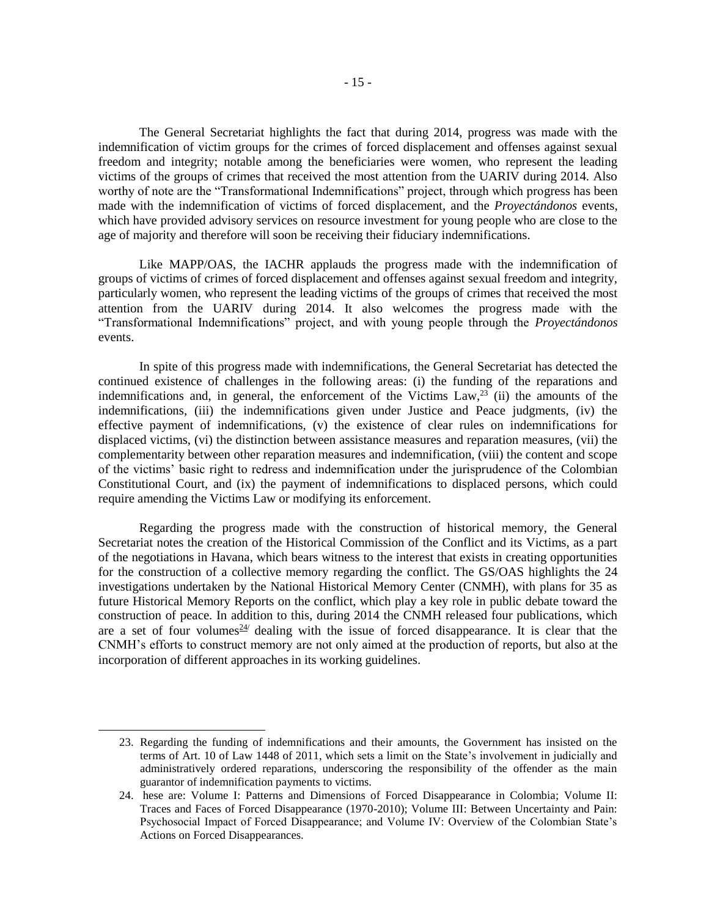The General Secretariat highlights the fact that during 2014, progress was made with the indemnification of victim groups for the crimes of forced displacement and offenses against sexual freedom and integrity; notable among the beneficiaries were women, who represent the leading victims of the groups of crimes that received the most attention from the UARIV during 2014. Also worthy of note are the "Transformational Indemnifications" project, through which progress has been made with the indemnification of victims of forced displacement, and the *Proyectándonos* events, which have provided advisory services on resource investment for young people who are close to the age of majority and therefore will soon be receiving their fiduciary indemnifications.

Like MAPP/OAS, the IACHR applauds the progress made with the indemnification of groups of victims of crimes of forced displacement and offenses against sexual freedom and integrity, particularly women, who represent the leading victims of the groups of crimes that received the most attention from the UARIV during 2014. It also welcomes the progress made with the "Transformational Indemnifications" project, and with young people through the *Proyectándonos* events.

In spite of this progress made with indemnifications, the General Secretariat has detected the continued existence of challenges in the following areas: (i) the funding of the reparations and indemnifications and, in general, the enforcement of the Victims  $Law<sub>1</sub><sup>23</sup>$  (ii) the amounts of the indemnifications, (iii) the indemnifications given under Justice and Peace judgments, (iv) the effective payment of indemnifications, (v) the existence of clear rules on indemnifications for displaced victims, (vi) the distinction between assistance measures and reparation measures, (vii) the complementarity between other reparation measures and indemnification, (viii) the content and scope of the victims' basic right to redress and indemnification under the jurisprudence of the Colombian Constitutional Court, and (ix) the payment of indemnifications to displaced persons, which could require amending the Victims Law or modifying its enforcement.

Regarding the progress made with the construction of historical memory, the General Secretariat notes the creation of the Historical Commission of the Conflict and its Victims, as a part of the negotiations in Havana, which bears witness to the interest that exists in creating opportunities for the construction of a collective memory regarding the conflict. The GS/OAS highlights the 24 investigations undertaken by the National Historical Memory Center (CNMH), with plans for 35 as future Historical Memory Reports on the conflict, which play a key role in public debate toward the construction of peace. In addition to this, during 2014 the CNMH released four publications, which are a set of four volumes  $24/$  dealing with the issue of forced disappearance. It is clear that the CNMH's efforts to construct memory are not only aimed at the production of reports, but also at the incorporation of different approaches in its working guidelines.

<sup>23.</sup> Regarding the funding of indemnifications and their amounts, the Government has insisted on the terms of Art. 10 of Law 1448 of 2011, which sets a limit on the State's involvement in judicially and administratively ordered reparations, underscoring the responsibility of the offender as the main guarantor of indemnification payments to victims.

<sup>24.</sup> hese are: Volume I: Patterns and Dimensions of Forced Disappearance in Colombia; Volume II: Traces and Faces of Forced Disappearance (1970-2010); Volume III: Between Uncertainty and Pain: Psychosocial Impact of Forced Disappearance; and Volume IV: Overview of the Colombian State's Actions on Forced Disappearances.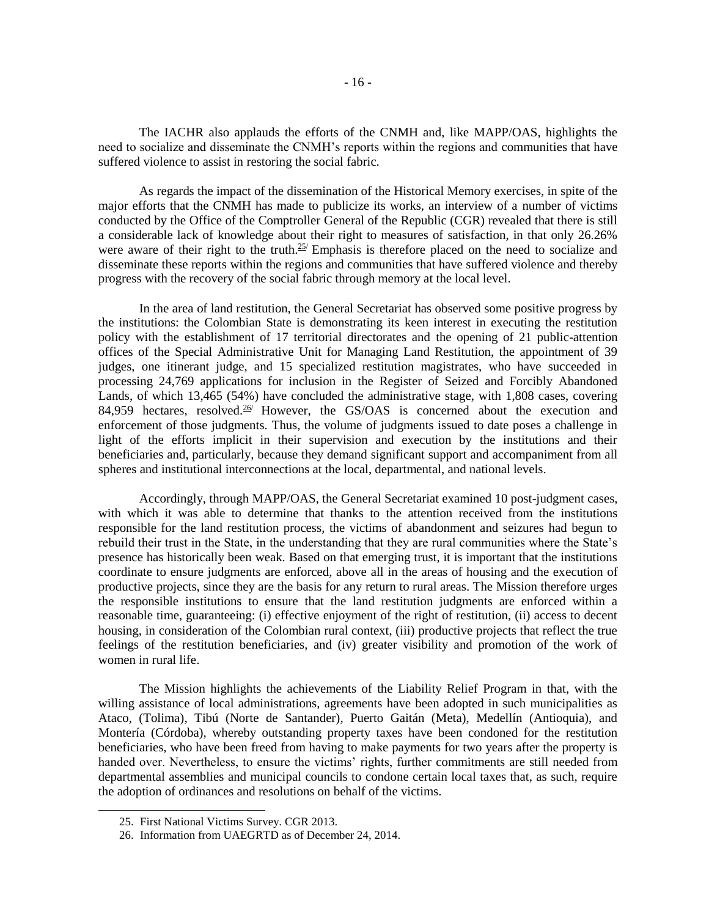The IACHR also applauds the efforts of the CNMH and, like MAPP/OAS, highlights the need to socialize and disseminate the CNMH's reports within the regions and communities that have suffered violence to assist in restoring the social fabric.

As regards the impact of the dissemination of the Historical Memory exercises, in spite of the major efforts that the CNMH has made to publicize its works, an interview of a number of victims conducted by the Office of the Comptroller General of the Republic (CGR) revealed that there is still a considerable lack of knowledge about their right to measures of satisfaction, in that only 26.26% were aware of their right to the truth.<sup>25/</sup> Emphasis is therefore placed on the need to socialize and disseminate these reports within the regions and communities that have suffered violence and thereby progress with the recovery of the social fabric through memory at the local level.

In the area of land restitution, the General Secretariat has observed some positive progress by the institutions: the Colombian State is demonstrating its keen interest in executing the restitution policy with the establishment of 17 territorial directorates and the opening of 21 public-attention offices of the Special Administrative Unit for Managing Land Restitution, the appointment of 39 judges, one itinerant judge, and 15 specialized restitution magistrates, who have succeeded in processing 24,769 applications for inclusion in the Register of Seized and Forcibly Abandoned Lands, of which 13,465 (54%) have concluded the administrative stage, with 1,808 cases, covering 84,959 hectares, resolved.<sup>26/</sup> However, the GS/OAS is concerned about the execution and enforcement of those judgments. Thus, the volume of judgments issued to date poses a challenge in light of the efforts implicit in their supervision and execution by the institutions and their beneficiaries and, particularly, because they demand significant support and accompaniment from all spheres and institutional interconnections at the local, departmental, and national levels.

Accordingly, through MAPP/OAS, the General Secretariat examined 10 post-judgment cases, with which it was able to determine that thanks to the attention received from the institutions responsible for the land restitution process, the victims of abandonment and seizures had begun to rebuild their trust in the State, in the understanding that they are rural communities where the State's presence has historically been weak. Based on that emerging trust, it is important that the institutions coordinate to ensure judgments are enforced, above all in the areas of housing and the execution of productive projects, since they are the basis for any return to rural areas. The Mission therefore urges the responsible institutions to ensure that the land restitution judgments are enforced within a reasonable time, guaranteeing: (i) effective enjoyment of the right of restitution, (ii) access to decent housing, in consideration of the Colombian rural context, (iii) productive projects that reflect the true feelings of the restitution beneficiaries, and (iv) greater visibility and promotion of the work of women in rural life.

The Mission highlights the achievements of the Liability Relief Program in that, with the willing assistance of local administrations, agreements have been adopted in such municipalities as Ataco, (Tolima), Tibú (Norte de Santander), Puerto Gaitán (Meta), Medellín (Antioquia), and Montería (Córdoba), whereby outstanding property taxes have been condoned for the restitution beneficiaries, who have been freed from having to make payments for two years after the property is handed over. Nevertheless, to ensure the victims' rights, further commitments are still needed from departmental assemblies and municipal councils to condone certain local taxes that, as such, require the adoption of ordinances and resolutions on behalf of the victims.

<sup>25.</sup> First National Victims Survey. CGR 2013.

<sup>26.</sup> Information from UAEGRTD as of December 24, 2014.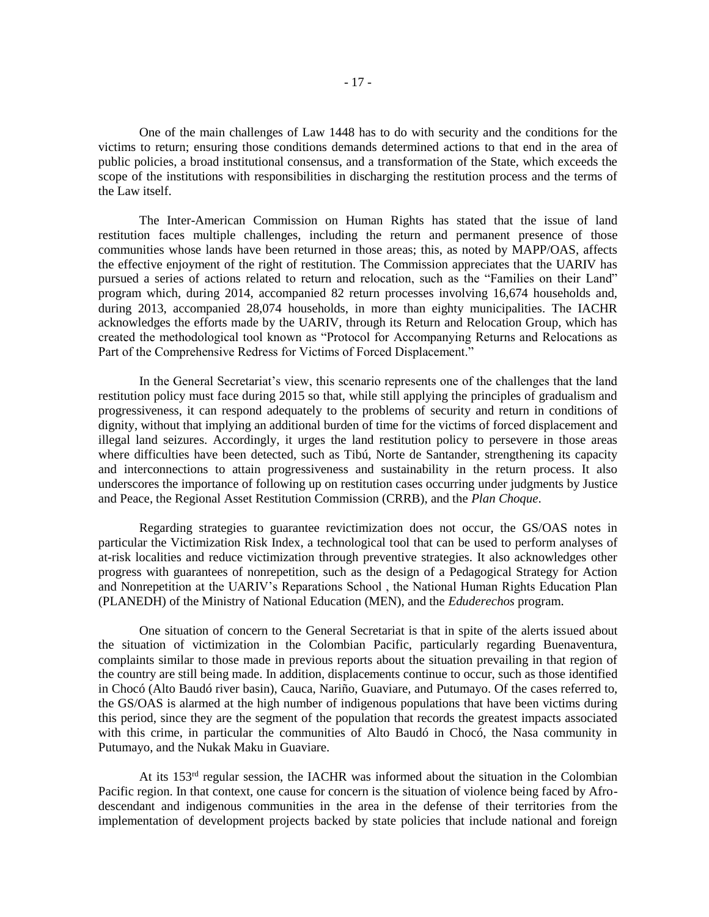One of the main challenges of Law 1448 has to do with security and the conditions for the victims to return; ensuring those conditions demands determined actions to that end in the area of public policies, a broad institutional consensus, and a transformation of the State, which exceeds the scope of the institutions with responsibilities in discharging the restitution process and the terms of the Law itself.

The Inter-American Commission on Human Rights has stated that the issue of land restitution faces multiple challenges, including the return and permanent presence of those communities whose lands have been returned in those areas; this, as noted by MAPP/OAS, affects the effective enjoyment of the right of restitution. The Commission appreciates that the UARIV has pursued a series of actions related to return and relocation, such as the "Families on their Land" program which, during 2014, accompanied 82 return processes involving 16,674 households and, during 2013, accompanied 28,074 households, in more than eighty municipalities. The IACHR acknowledges the efforts made by the UARIV, through its Return and Relocation Group, which has created the methodological tool known as "Protocol for Accompanying Returns and Relocations as Part of the Comprehensive Redress for Victims of Forced Displacement."

In the General Secretariat's view, this scenario represents one of the challenges that the land restitution policy must face during 2015 so that, while still applying the principles of gradualism and progressiveness, it can respond adequately to the problems of security and return in conditions of dignity, without that implying an additional burden of time for the victims of forced displacement and illegal land seizures. Accordingly, it urges the land restitution policy to persevere in those areas where difficulties have been detected, such as Tibú, Norte de Santander, strengthening its capacity and interconnections to attain progressiveness and sustainability in the return process. It also underscores the importance of following up on restitution cases occurring under judgments by Justice and Peace, the Regional Asset Restitution Commission (CRRB), and the *Plan Choque*.

Regarding strategies to guarantee revictimization does not occur, the GS/OAS notes in particular the Victimization Risk Index, a technological tool that can be used to perform analyses of at-risk localities and reduce victimization through preventive strategies. It also acknowledges other progress with guarantees of nonrepetition, such as the design of a Pedagogical Strategy for Action and Nonrepetition at the UARIV's Reparations School , the National Human Rights Education Plan (PLANEDH) of the Ministry of National Education (MEN), and the *Eduderechos* program.

One situation of concern to the General Secretariat is that in spite of the alerts issued about the situation of victimization in the Colombian Pacific, particularly regarding Buenaventura, complaints similar to those made in previous reports about the situation prevailing in that region of the country are still being made. In addition, displacements continue to occur, such as those identified in Chocó (Alto Baudó river basin), Cauca, Nariño, Guaviare, and Putumayo. Of the cases referred to, the GS/OAS is alarmed at the high number of indigenous populations that have been victims during this period, since they are the segment of the population that records the greatest impacts associated with this crime, in particular the communities of Alto Baudó in Chocó, the Nasa community in Putumayo, and the Nukak Maku in Guaviare.

At its 153rd regular session, the IACHR was informed about the situation in the Colombian Pacific region. In that context, one cause for concern is the situation of violence being faced by Afrodescendant and indigenous communities in the area in the defense of their territories from the implementation of development projects backed by state policies that include national and foreign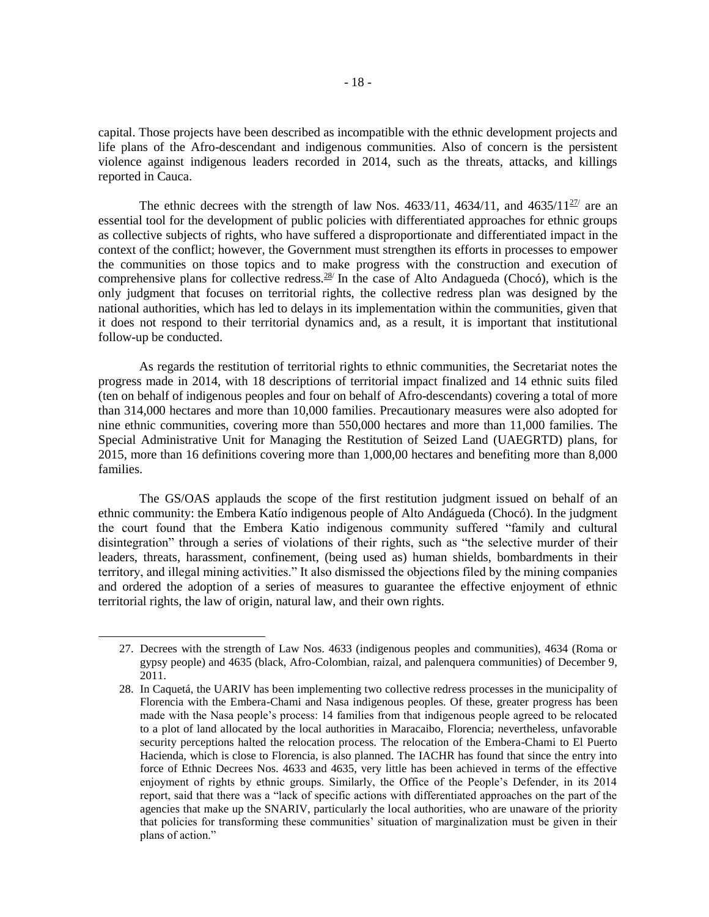capital. Those projects have been described as incompatible with the ethnic development projects and life plans of the Afro-descendant and indigenous communities. Also of concern is the persistent violence against indigenous leaders recorded in 2014, such as the threats, attacks, and killings reported in Cauca.

The ethnic decrees with the strength of law Nos. 4633/11, 4634/11, and 4635/11 $^{27}$  are an essential tool for the development of public policies with differentiated approaches for ethnic groups as collective subjects of rights, who have suffered a disproportionate and differentiated impact in the context of the conflict; however, the Government must strengthen its efforts in processes to empower the communities on those topics and to make progress with the construction and execution of comprehensive plans for collective redress. $28/$  In the case of Alto Andagueda (Chocó), which is the only judgment that focuses on territorial rights, the collective redress plan was designed by the national authorities, which has led to delays in its implementation within the communities, given that it does not respond to their territorial dynamics and, as a result, it is important that institutional follow-up be conducted.

As regards the restitution of territorial rights to ethnic communities, the Secretariat notes the progress made in 2014, with 18 descriptions of territorial impact finalized and 14 ethnic suits filed (ten on behalf of indigenous peoples and four on behalf of Afro-descendants) covering a total of more than 314,000 hectares and more than 10,000 families. Precautionary measures were also adopted for nine ethnic communities, covering more than 550,000 hectares and more than 11,000 families. The Special Administrative Unit for Managing the Restitution of Seized Land (UAEGRTD) plans, for 2015, more than 16 definitions covering more than 1,000,00 hectares and benefiting more than 8,000 families.

The GS/OAS applauds the scope of the first restitution judgment issued on behalf of an ethnic community: the Embera Katío indigenous people of Alto Andágueda (Chocó). In the judgment the court found that the Embera Katio indigenous community suffered "family and cultural disintegration" through a series of violations of their rights, such as "the selective murder of their leaders, threats, harassment, confinement, (being used as) human shields, bombardments in their territory, and illegal mining activities." It also dismissed the objections filed by the mining companies and ordered the adoption of a series of measures to guarantee the effective enjoyment of ethnic territorial rights, the law of origin, natural law, and their own rights.

<sup>27.</sup> Decrees with the strength of Law Nos. 4633 (indigenous peoples and communities), 4634 (Roma or gypsy people) and 4635 (black, Afro-Colombian, raizal, and palenquera communities) of December 9, 2011.

<sup>28.</sup> In Caquetá, the UARIV has been implementing two collective redress processes in the municipality of Florencia with the Embera-Chami and Nasa indigenous peoples. Of these, greater progress has been made with the Nasa people's process: 14 families from that indigenous people agreed to be relocated to a plot of land allocated by the local authorities in Maracaibo, Florencia; nevertheless, unfavorable security perceptions halted the relocation process. The relocation of the Embera-Chami to El Puerto Hacienda, which is close to Florencia, is also planned. The IACHR has found that since the entry into force of Ethnic Decrees Nos. 4633 and 4635, very little has been achieved in terms of the effective enjoyment of rights by ethnic groups. Similarly, the Office of the People's Defender, in its 2014 report, said that there was a "lack of specific actions with differentiated approaches on the part of the agencies that make up the SNARIV, particularly the local authorities, who are unaware of the priority that policies for transforming these communities' situation of marginalization must be given in their plans of action."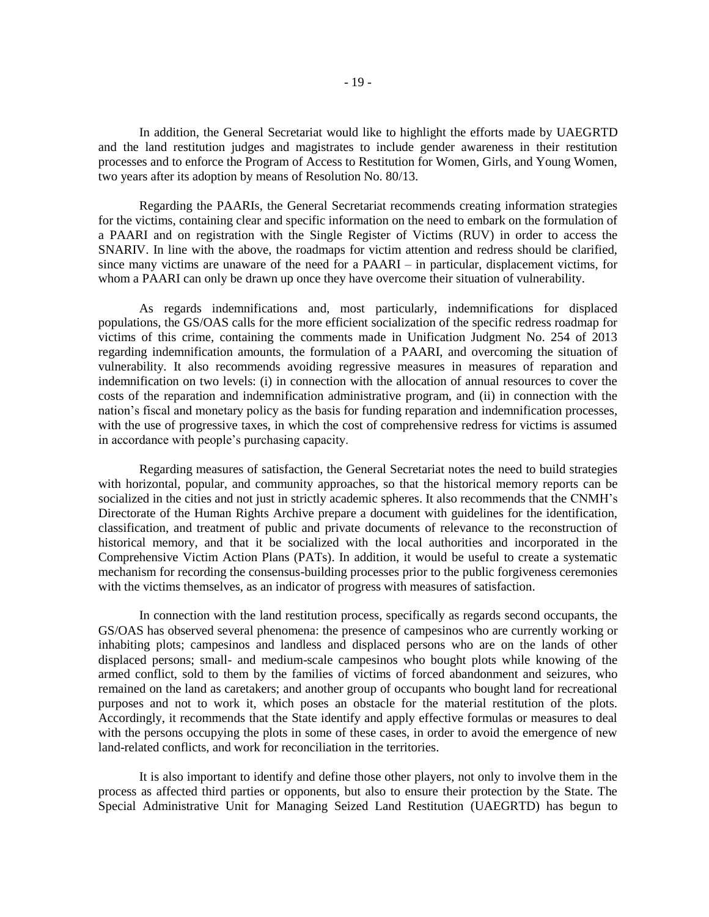In addition, the General Secretariat would like to highlight the efforts made by UAEGRTD and the land restitution judges and magistrates to include gender awareness in their restitution processes and to enforce the Program of Access to Restitution for Women, Girls, and Young Women, two years after its adoption by means of Resolution No. 80/13.

Regarding the PAARIs, the General Secretariat recommends creating information strategies for the victims, containing clear and specific information on the need to embark on the formulation of a PAARI and on registration with the Single Register of Victims (RUV) in order to access the SNARIV. In line with the above, the roadmaps for victim attention and redress should be clarified, since many victims are unaware of the need for a PAARI – in particular, displacement victims, for whom a PAARI can only be drawn up once they have overcome their situation of vulnerability.

As regards indemnifications and, most particularly, indemnifications for displaced populations, the GS/OAS calls for the more efficient socialization of the specific redress roadmap for victims of this crime, containing the comments made in Unification Judgment No. 254 of 2013 regarding indemnification amounts, the formulation of a PAARI, and overcoming the situation of vulnerability. It also recommends avoiding regressive measures in measures of reparation and indemnification on two levels: (i) in connection with the allocation of annual resources to cover the costs of the reparation and indemnification administrative program, and (ii) in connection with the nation's fiscal and monetary policy as the basis for funding reparation and indemnification processes, with the use of progressive taxes, in which the cost of comprehensive redress for victims is assumed in accordance with people's purchasing capacity.

Regarding measures of satisfaction, the General Secretariat notes the need to build strategies with horizontal, popular, and community approaches, so that the historical memory reports can be socialized in the cities and not just in strictly academic spheres. It also recommends that the CNMH's Directorate of the Human Rights Archive prepare a document with guidelines for the identification, classification, and treatment of public and private documents of relevance to the reconstruction of historical memory, and that it be socialized with the local authorities and incorporated in the Comprehensive Victim Action Plans (PATs). In addition, it would be useful to create a systematic mechanism for recording the consensus-building processes prior to the public forgiveness ceremonies with the victims themselves, as an indicator of progress with measures of satisfaction.

In connection with the land restitution process, specifically as regards second occupants, the GS/OAS has observed several phenomena: the presence of campesinos who are currently working or inhabiting plots; campesinos and landless and displaced persons who are on the lands of other displaced persons; small- and medium-scale campesinos who bought plots while knowing of the armed conflict, sold to them by the families of victims of forced abandonment and seizures, who remained on the land as caretakers; and another group of occupants who bought land for recreational purposes and not to work it, which poses an obstacle for the material restitution of the plots. Accordingly, it recommends that the State identify and apply effective formulas or measures to deal with the persons occupying the plots in some of these cases, in order to avoid the emergence of new land-related conflicts, and work for reconciliation in the territories.

It is also important to identify and define those other players, not only to involve them in the process as affected third parties or opponents, but also to ensure their protection by the State. The Special Administrative Unit for Managing Seized Land Restitution (UAEGRTD) has begun to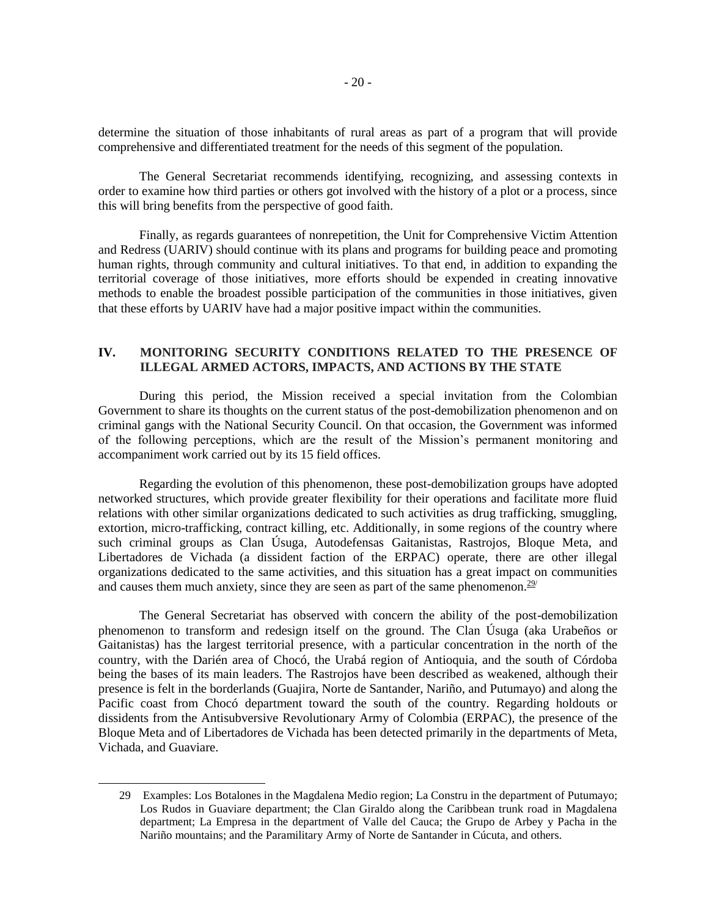determine the situation of those inhabitants of rural areas as part of a program that will provide comprehensive and differentiated treatment for the needs of this segment of the population.

The General Secretariat recommends identifying, recognizing, and assessing contexts in order to examine how third parties or others got involved with the history of a plot or a process, since this will bring benefits from the perspective of good faith.

Finally, as regards guarantees of nonrepetition, the Unit for Comprehensive Victim Attention and Redress (UARIV) should continue with its plans and programs for building peace and promoting human rights, through community and cultural initiatives. To that end, in addition to expanding the territorial coverage of those initiatives, more efforts should be expended in creating innovative methods to enable the broadest possible participation of the communities in those initiatives, given that these efforts by UARIV have had a major positive impact within the communities.

# **IV. MONITORING SECURITY CONDITIONS RELATED TO THE PRESENCE OF ILLEGAL ARMED ACTORS, IMPACTS, AND ACTIONS BY THE STATE**

During this period, the Mission received a special invitation from the Colombian Government to share its thoughts on the current status of the post-demobilization phenomenon and on criminal gangs with the National Security Council. On that occasion, the Government was informed of the following perceptions, which are the result of the Mission's permanent monitoring and accompaniment work carried out by its 15 field offices.

Regarding the evolution of this phenomenon, these post-demobilization groups have adopted networked structures, which provide greater flexibility for their operations and facilitate more fluid relations with other similar organizations dedicated to such activities as drug trafficking, smuggling, extortion, micro-trafficking, contract killing, etc. Additionally, in some regions of the country where such criminal groups as Clan Úsuga, Autodefensas Gaitanistas, Rastrojos, Bloque Meta, and Libertadores de Vichada (a dissident faction of the ERPAC) operate, there are other illegal organizations dedicated to the same activities, and this situation has a great impact on communities and causes them much anxiety, since they are seen as part of the same phenomenon.<sup>29/</sup>

The General Secretariat has observed with concern the ability of the post-demobilization phenomenon to transform and redesign itself on the ground. The Clan Úsuga (aka Urabeños or Gaitanistas) has the largest territorial presence, with a particular concentration in the north of the country, with the Darién area of Chocó, the Urabá region of Antioquia, and the south of Córdoba being the bases of its main leaders. The Rastrojos have been described as weakened, although their presence is felt in the borderlands (Guajira, Norte de Santander, Nariño, and Putumayo) and along the Pacific coast from Chocó department toward the south of the country. Regarding holdouts or dissidents from the Antisubversive Revolutionary Army of Colombia (ERPAC), the presence of the Bloque Meta and of Libertadores de Vichada has been detected primarily in the departments of Meta, Vichada, and Guaviare.

<sup>29</sup> Examples: Los Botalones in the Magdalena Medio region; La Constru in the department of Putumayo; Los Rudos in Guaviare department; the Clan Giraldo along the Caribbean trunk road in Magdalena department; La Empresa in the department of Valle del Cauca; the Grupo de Arbey y Pacha in the Nariño mountains; and the Paramilitary Army of Norte de Santander in Cúcuta, and others.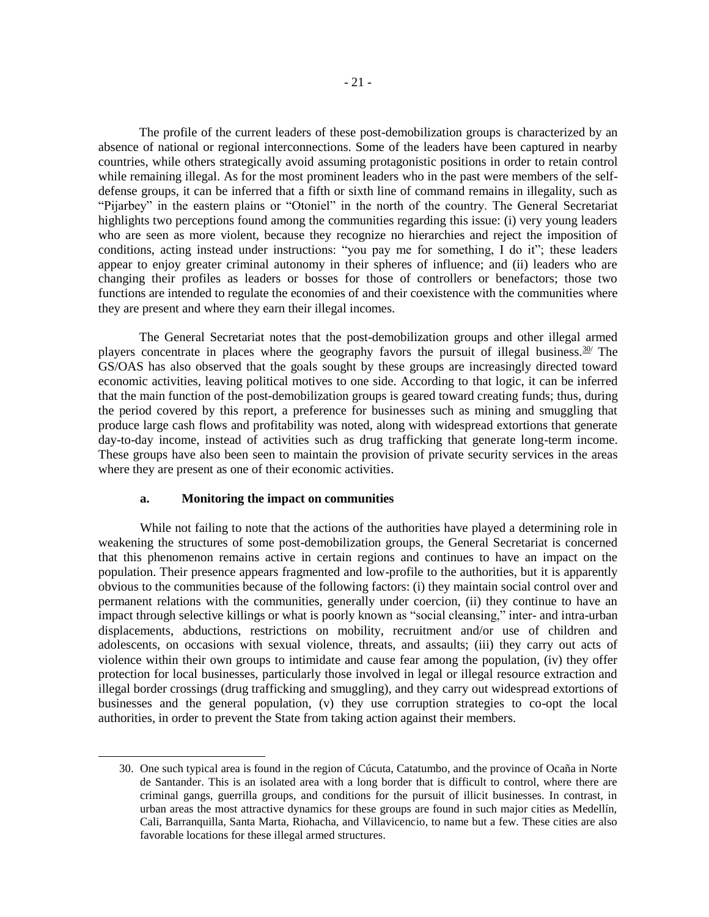The profile of the current leaders of these post-demobilization groups is characterized by an absence of national or regional interconnections. Some of the leaders have been captured in nearby countries, while others strategically avoid assuming protagonistic positions in order to retain control while remaining illegal. As for the most prominent leaders who in the past were members of the selfdefense groups, it can be inferred that a fifth or sixth line of command remains in illegality, such as "Pijarbey" in the eastern plains or "Otoniel" in the north of the country. The General Secretariat highlights two perceptions found among the communities regarding this issue: (i) very young leaders who are seen as more violent, because they recognize no hierarchies and reject the imposition of conditions, acting instead under instructions: "you pay me for something, I do it"; these leaders appear to enjoy greater criminal autonomy in their spheres of influence; and (ii) leaders who are changing their profiles as leaders or bosses for those of controllers or benefactors; those two functions are intended to regulate the economies of and their coexistence with the communities where they are present and where they earn their illegal incomes.

The General Secretariat notes that the post-demobilization groups and other illegal armed players concentrate in places where the geography favors the pursuit of illegal business.<sup>30/</sup> The GS/OAS has also observed that the goals sought by these groups are increasingly directed toward economic activities, leaving political motives to one side. According to that logic, it can be inferred that the main function of the post-demobilization groups is geared toward creating funds; thus, during the period covered by this report, a preference for businesses such as mining and smuggling that produce large cash flows and profitability was noted, along with widespread extortions that generate day-to-day income, instead of activities such as drug trafficking that generate long-term income. These groups have also been seen to maintain the provision of private security services in the areas where they are present as one of their economic activities.

#### **a. Monitoring the impact on communities**

l

While not failing to note that the actions of the authorities have played a determining role in weakening the structures of some post-demobilization groups, the General Secretariat is concerned that this phenomenon remains active in certain regions and continues to have an impact on the population. Their presence appears fragmented and low-profile to the authorities, but it is apparently obvious to the communities because of the following factors: (i) they maintain social control over and permanent relations with the communities, generally under coercion, (ii) they continue to have an impact through selective killings or what is poorly known as "social cleansing," inter- and intra-urban displacements, abductions, restrictions on mobility, recruitment and/or use of children and adolescents, on occasions with sexual violence, threats, and assaults; (iii) they carry out acts of violence within their own groups to intimidate and cause fear among the population, (iv) they offer protection for local businesses, particularly those involved in legal or illegal resource extraction and illegal border crossings (drug trafficking and smuggling), and they carry out widespread extortions of businesses and the general population, (v) they use corruption strategies to co-opt the local authorities, in order to prevent the State from taking action against their members.

<sup>30.</sup> One such typical area is found in the region of Cúcuta, Catatumbo, and the province of Ocaña in Norte de Santander. This is an isolated area with a long border that is difficult to control, where there are criminal gangs, guerrilla groups, and conditions for the pursuit of illicit businesses. In contrast, in urban areas the most attractive dynamics for these groups are found in such major cities as Medellín, Cali, Barranquilla, Santa Marta, Riohacha, and Villavicencio, to name but a few. These cities are also favorable locations for these illegal armed structures.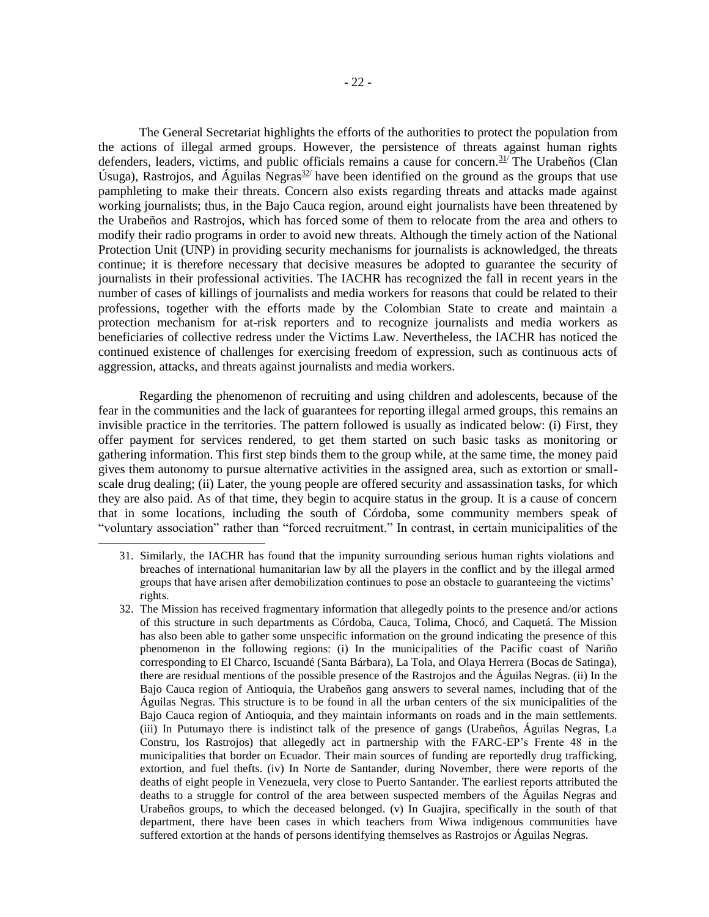The General Secretariat highlights the efforts of the authorities to protect the population from the actions of illegal armed groups. However, the persistence of threats against human rights defenders, leaders, victims, and public officials remains a cause for concern.<sup>31/</sup> The Urabeños (Clan Úsuga), Rastrojos, and Águilas Negras $32$  have been identified on the ground as the groups that use pamphleting to make their threats. Concern also exists regarding threats and attacks made against working journalists; thus, in the Bajo Cauca region, around eight journalists have been threatened by the Urabeños and Rastrojos, which has forced some of them to relocate from the area and others to modify their radio programs in order to avoid new threats. Although the timely action of the National Protection Unit (UNP) in providing security mechanisms for journalists is acknowledged, the threats continue; it is therefore necessary that decisive measures be adopted to guarantee the security of journalists in their professional activities. The IACHR has recognized the fall in recent years in the number of cases of killings of journalists and media workers for reasons that could be related to their professions, together with the efforts made by the Colombian State to create and maintain a protection mechanism for at-risk reporters and to recognize journalists and media workers as beneficiaries of collective redress under the Victims Law. Nevertheless, the IACHR has noticed the continued existence of challenges for exercising freedom of expression, such as continuous acts of aggression, attacks, and threats against journalists and media workers.

Regarding the phenomenon of recruiting and using children and adolescents, because of the fear in the communities and the lack of guarantees for reporting illegal armed groups, this remains an invisible practice in the territories. The pattern followed is usually as indicated below: (i) First, they offer payment for services rendered, to get them started on such basic tasks as monitoring or gathering information. This first step binds them to the group while, at the same time, the money paid gives them autonomy to pursue alternative activities in the assigned area, such as extortion or smallscale drug dealing; (ii) Later, the young people are offered security and assassination tasks, for which they are also paid. As of that time, they begin to acquire status in the group. It is a cause of concern that in some locations, including the south of Córdoba, some community members speak of "voluntary association" rather than "forced recruitment." In contrast, in certain municipalities of the

l

32. The Mission has received fragmentary information that allegedly points to the presence and/or actions of this structure in such departments as Córdoba, Cauca, Tolima, Chocó, and Caquetá. The Mission has also been able to gather some unspecific information on the ground indicating the presence of this phenomenon in the following regions: (i) In the municipalities of the Pacific coast of Nariño corresponding to El Charco, Iscuandé (Santa Bárbara), La Tola, and Olaya Herrera (Bocas de Satinga), there are residual mentions of the possible presence of the Rastrojos and the Águilas Negras. (ii) In the Bajo Cauca region of Antioquia, the Urabeños gang answers to several names, including that of the Águilas Negras. This structure is to be found in all the urban centers of the six municipalities of the Bajo Cauca region of Antioquia, and they maintain informants on roads and in the main settlements. (iii) In Putumayo there is indistinct talk of the presence of gangs (Urabeños, Águilas Negras, La Constru, los Rastrojos) that allegedly act in partnership with the FARC-EP's Frente 48 in the municipalities that border on Ecuador. Their main sources of funding are reportedly drug trafficking, extortion, and fuel thefts. (iv) In Norte de Santander, during November, there were reports of the deaths of eight people in Venezuela, very close to Puerto Santander. The earliest reports attributed the deaths to a struggle for control of the area between suspected members of the Águilas Negras and Urabeños groups, to which the deceased belonged. (v) In Guajira, specifically in the south of that department, there have been cases in which teachers from Wiwa indigenous communities have suffered extortion at the hands of persons identifying themselves as Rastrojos or Águilas Negras.

<sup>31.</sup> Similarly, the IACHR has found that the impunity surrounding serious human rights violations and breaches of international humanitarian law by all the players in the conflict and by the illegal armed groups that have arisen after demobilization continues to pose an obstacle to guaranteeing the victims' rights.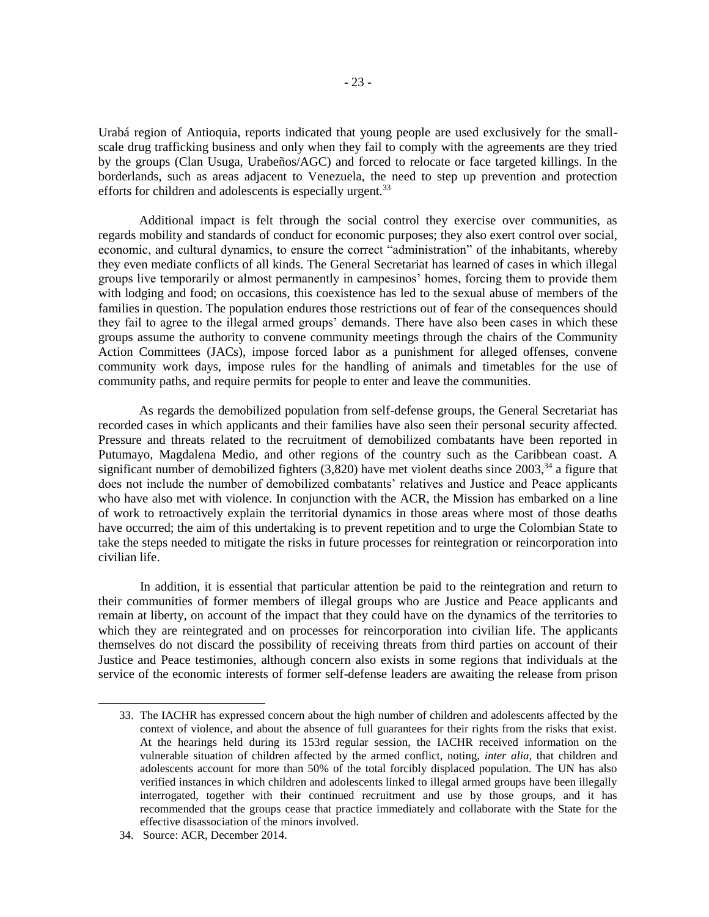Urabá region of Antioquia, reports indicated that young people are used exclusively for the smallscale drug trafficking business and only when they fail to comply with the agreements are they tried by the groups (Clan Usuga, Urabeños/AGC) and forced to relocate or face targeted killings. In the borderlands, such as areas adjacent to Venezuela, the need to step up prevention and protection efforts for children and adolescents is especially urgent.<sup>33</sup>

Additional impact is felt through the social control they exercise over communities, as regards mobility and standards of conduct for economic purposes; they also exert control over social, economic, and cultural dynamics, to ensure the correct "administration" of the inhabitants, whereby they even mediate conflicts of all kinds. The General Secretariat has learned of cases in which illegal groups live temporarily or almost permanently in campesinos' homes, forcing them to provide them with lodging and food; on occasions, this coexistence has led to the sexual abuse of members of the families in question. The population endures those restrictions out of fear of the consequences should they fail to agree to the illegal armed groups' demands. There have also been cases in which these groups assume the authority to convene community meetings through the chairs of the Community Action Committees (JACs), impose forced labor as a punishment for alleged offenses, convene community work days, impose rules for the handling of animals and timetables for the use of community paths, and require permits for people to enter and leave the communities.

As regards the demobilized population from self-defense groups, the General Secretariat has recorded cases in which applicants and their families have also seen their personal security affected. Pressure and threats related to the recruitment of demobilized combatants have been reported in Putumayo, Magdalena Medio, and other regions of the country such as the Caribbean coast. A significant number of demobilized fighters  $(3,820)$  have met violent deaths since  $2003$ ,<sup>34</sup> a figure that does not include the number of demobilized combatants' relatives and Justice and Peace applicants who have also met with violence. In conjunction with the ACR, the Mission has embarked on a line of work to retroactively explain the territorial dynamics in those areas where most of those deaths have occurred; the aim of this undertaking is to prevent repetition and to urge the Colombian State to take the steps needed to mitigate the risks in future processes for reintegration or reincorporation into civilian life.

In addition, it is essential that particular attention be paid to the reintegration and return to their communities of former members of illegal groups who are Justice and Peace applicants and remain at liberty, on account of the impact that they could have on the dynamics of the territories to which they are reintegrated and on processes for reincorporation into civilian life. The applicants themselves do not discard the possibility of receiving threats from third parties on account of their Justice and Peace testimonies, although concern also exists in some regions that individuals at the service of the economic interests of former self-defense leaders are awaiting the release from prison

<sup>33.</sup> The IACHR has expressed concern about the high number of children and adolescents affected by the context of violence, and about the absence of full guarantees for their rights from the risks that exist. At the hearings held during its 153rd regular session, the IACHR received information on the vulnerable situation of children affected by the armed conflict, noting, *inter alia*, that children and adolescents account for more than 50% of the total forcibly displaced population. The UN has also verified instances in which children and adolescents linked to illegal armed groups have been illegally interrogated, together with their continued recruitment and use by those groups, and it has recommended that the groups cease that practice immediately and collaborate with the State for the effective disassociation of the minors involved.

<sup>34.</sup> Source: ACR, December 2014.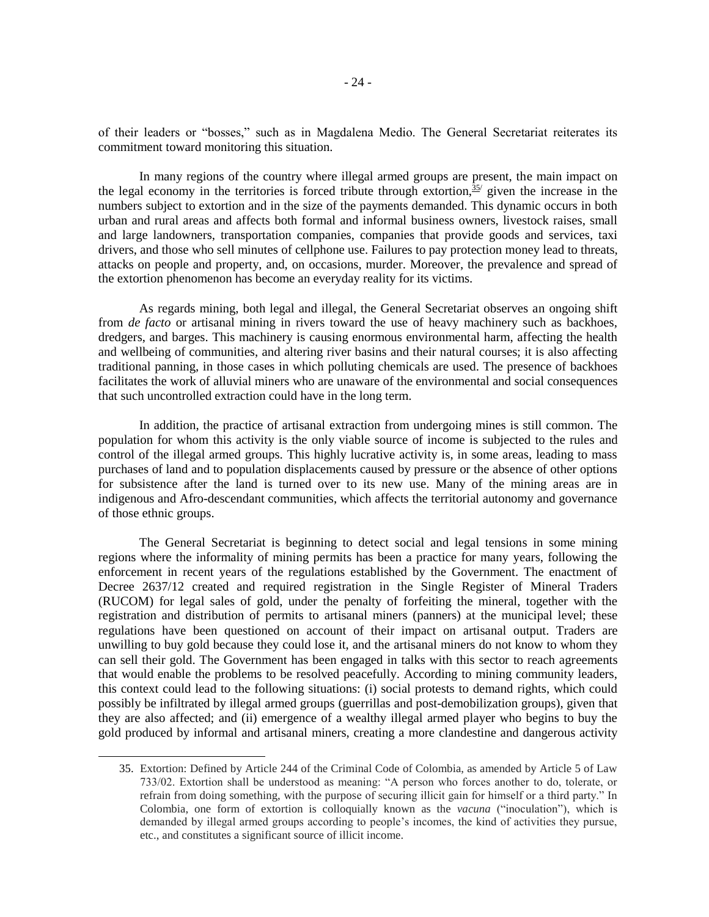of their leaders or "bosses," such as in Magdalena Medio. The General Secretariat reiterates its commitment toward monitoring this situation.

In many regions of the country where illegal armed groups are present, the main impact on the legal economy in the territories is forced tribute through extortion,  $\frac{35}{2}$  given the increase in the numbers subject to extortion and in the size of the payments demanded. This dynamic occurs in both urban and rural areas and affects both formal and informal business owners, livestock raises, small and large landowners, transportation companies, companies that provide goods and services, taxi drivers, and those who sell minutes of cellphone use. Failures to pay protection money lead to threats, attacks on people and property, and, on occasions, murder. Moreover, the prevalence and spread of the extortion phenomenon has become an everyday reality for its victims.

As regards mining, both legal and illegal, the General Secretariat observes an ongoing shift from *de facto* or artisanal mining in rivers toward the use of heavy machinery such as backhoes, dredgers, and barges. This machinery is causing enormous environmental harm, affecting the health and wellbeing of communities, and altering river basins and their natural courses; it is also affecting traditional panning, in those cases in which polluting chemicals are used. The presence of backhoes facilitates the work of alluvial miners who are unaware of the environmental and social consequences that such uncontrolled extraction could have in the long term.

In addition, the practice of artisanal extraction from undergoing mines is still common. The population for whom this activity is the only viable source of income is subjected to the rules and control of the illegal armed groups. This highly lucrative activity is, in some areas, leading to mass purchases of land and to population displacements caused by pressure or the absence of other options for subsistence after the land is turned over to its new use. Many of the mining areas are in indigenous and Afro-descendant communities, which affects the territorial autonomy and governance of those ethnic groups.

The General Secretariat is beginning to detect social and legal tensions in some mining regions where the informality of mining permits has been a practice for many years, following the enforcement in recent years of the regulations established by the Government. The enactment of Decree 2637/12 created and required registration in the Single Register of Mineral Traders (RUCOM) for legal sales of gold, under the penalty of forfeiting the mineral, together with the registration and distribution of permits to artisanal miners (panners) at the municipal level; these regulations have been questioned on account of their impact on artisanal output. Traders are unwilling to buy gold because they could lose it, and the artisanal miners do not know to whom they can sell their gold. The Government has been engaged in talks with this sector to reach agreements that would enable the problems to be resolved peacefully. According to mining community leaders, this context could lead to the following situations: (i) social protests to demand rights, which could possibly be infiltrated by illegal armed groups (guerrillas and post-demobilization groups), given that they are also affected; and (ii) emergence of a wealthy illegal armed player who begins to buy the gold produced by informal and artisanal miners, creating a more clandestine and dangerous activity

<sup>35.</sup> Extortion: Defined by Article 244 of the Criminal Code of Colombia, as amended by Article 5 of Law 733/02. Extortion shall be understood as meaning: "A person who forces another to do, tolerate, or refrain from doing something, with the purpose of securing illicit gain for himself or a third party." In Colombia, one form of extortion is colloquially known as the *vacuna* ("inoculation"), which is demanded by illegal armed groups according to people's incomes, the kind of activities they pursue, etc., and constitutes a significant source of illicit income.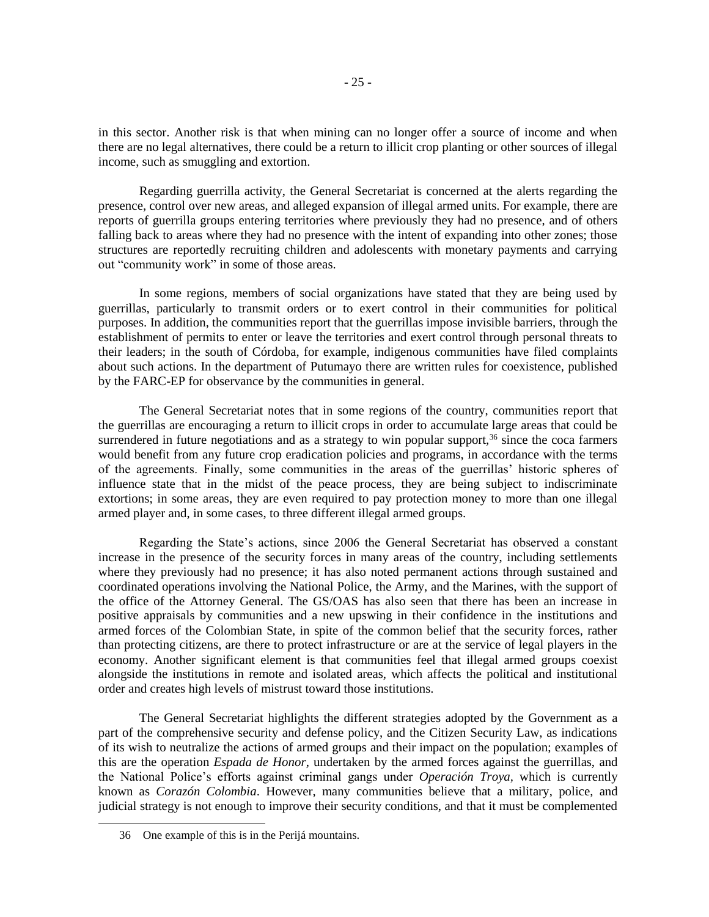in this sector. Another risk is that when mining can no longer offer a source of income and when there are no legal alternatives, there could be a return to illicit crop planting or other sources of illegal income, such as smuggling and extortion.

Regarding guerrilla activity, the General Secretariat is concerned at the alerts regarding the presence, control over new areas, and alleged expansion of illegal armed units. For example, there are reports of guerrilla groups entering territories where previously they had no presence, and of others falling back to areas where they had no presence with the intent of expanding into other zones; those structures are reportedly recruiting children and adolescents with monetary payments and carrying out "community work" in some of those areas.

In some regions, members of social organizations have stated that they are being used by guerrillas, particularly to transmit orders or to exert control in their communities for political purposes. In addition, the communities report that the guerrillas impose invisible barriers, through the establishment of permits to enter or leave the territories and exert control through personal threats to their leaders; in the south of Córdoba, for example, indigenous communities have filed complaints about such actions. In the department of Putumayo there are written rules for coexistence, published by the FARC-EP for observance by the communities in general.

The General Secretariat notes that in some regions of the country, communities report that the guerrillas are encouraging a return to illicit crops in order to accumulate large areas that could be surrendered in future negotiations and as a strategy to win popular support,<sup>36</sup> since the coca farmers would benefit from any future crop eradication policies and programs, in accordance with the terms of the agreements. Finally, some communities in the areas of the guerrillas' historic spheres of influence state that in the midst of the peace process, they are being subject to indiscriminate extortions; in some areas, they are even required to pay protection money to more than one illegal armed player and, in some cases, to three different illegal armed groups.

Regarding the State's actions, since 2006 the General Secretariat has observed a constant increase in the presence of the security forces in many areas of the country, including settlements where they previously had no presence; it has also noted permanent actions through sustained and coordinated operations involving the National Police, the Army, and the Marines, with the support of the office of the Attorney General. The GS/OAS has also seen that there has been an increase in positive appraisals by communities and a new upswing in their confidence in the institutions and armed forces of the Colombian State, in spite of the common belief that the security forces, rather than protecting citizens, are there to protect infrastructure or are at the service of legal players in the economy. Another significant element is that communities feel that illegal armed groups coexist alongside the institutions in remote and isolated areas, which affects the political and institutional order and creates high levels of mistrust toward those institutions.

The General Secretariat highlights the different strategies adopted by the Government as a part of the comprehensive security and defense policy, and the Citizen Security Law, as indications of its wish to neutralize the actions of armed groups and their impact on the population; examples of this are the operation *Espada de Honor*, undertaken by the armed forces against the guerrillas, and the National Police's efforts against criminal gangs under *Operación Troya,* which is currently known as *Corazón Colombia*. However, many communities believe that a military, police, and judicial strategy is not enough to improve their security conditions, and that it must be complemented

<sup>36</sup> One example of this is in the Perijá mountains.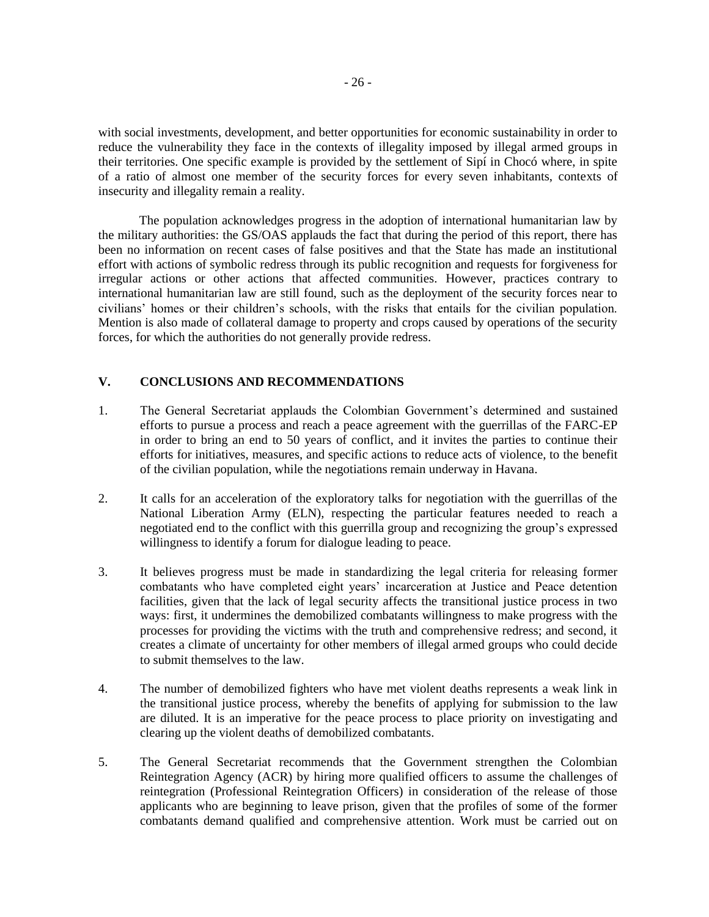with social investments, development, and better opportunities for economic sustainability in order to reduce the vulnerability they face in the contexts of illegality imposed by illegal armed groups in their territories. One specific example is provided by the settlement of Sipí in Chocó where, in spite of a ratio of almost one member of the security forces for every seven inhabitants, contexts of insecurity and illegality remain a reality.

The population acknowledges progress in the adoption of international humanitarian law by the military authorities: the GS/OAS applauds the fact that during the period of this report, there has been no information on recent cases of false positives and that the State has made an institutional effort with actions of symbolic redress through its public recognition and requests for forgiveness for irregular actions or other actions that affected communities. However, practices contrary to international humanitarian law are still found, such as the deployment of the security forces near to civilians' homes or their children's schools, with the risks that entails for the civilian population. Mention is also made of collateral damage to property and crops caused by operations of the security forces, for which the authorities do not generally provide redress.

## **V. CONCLUSIONS AND RECOMMENDATIONS**

- 1. The General Secretariat applauds the Colombian Government's determined and sustained efforts to pursue a process and reach a peace agreement with the guerrillas of the FARC-EP in order to bring an end to 50 years of conflict, and it invites the parties to continue their efforts for initiatives, measures, and specific actions to reduce acts of violence, to the benefit of the civilian population, while the negotiations remain underway in Havana.
- 2. It calls for an acceleration of the exploratory talks for negotiation with the guerrillas of the National Liberation Army (ELN), respecting the particular features needed to reach a negotiated end to the conflict with this guerrilla group and recognizing the group's expressed willingness to identify a forum for dialogue leading to peace.
- 3. It believes progress must be made in standardizing the legal criteria for releasing former combatants who have completed eight years' incarceration at Justice and Peace detention facilities, given that the lack of legal security affects the transitional justice process in two ways: first, it undermines the demobilized combatants willingness to make progress with the processes for providing the victims with the truth and comprehensive redress; and second, it creates a climate of uncertainty for other members of illegal armed groups who could decide to submit themselves to the law.
- 4. The number of demobilized fighters who have met violent deaths represents a weak link in the transitional justice process, whereby the benefits of applying for submission to the law are diluted. It is an imperative for the peace process to place priority on investigating and clearing up the violent deaths of demobilized combatants.
- 5. The General Secretariat recommends that the Government strengthen the Colombian Reintegration Agency (ACR) by hiring more qualified officers to assume the challenges of reintegration (Professional Reintegration Officers) in consideration of the release of those applicants who are beginning to leave prison, given that the profiles of some of the former combatants demand qualified and comprehensive attention. Work must be carried out on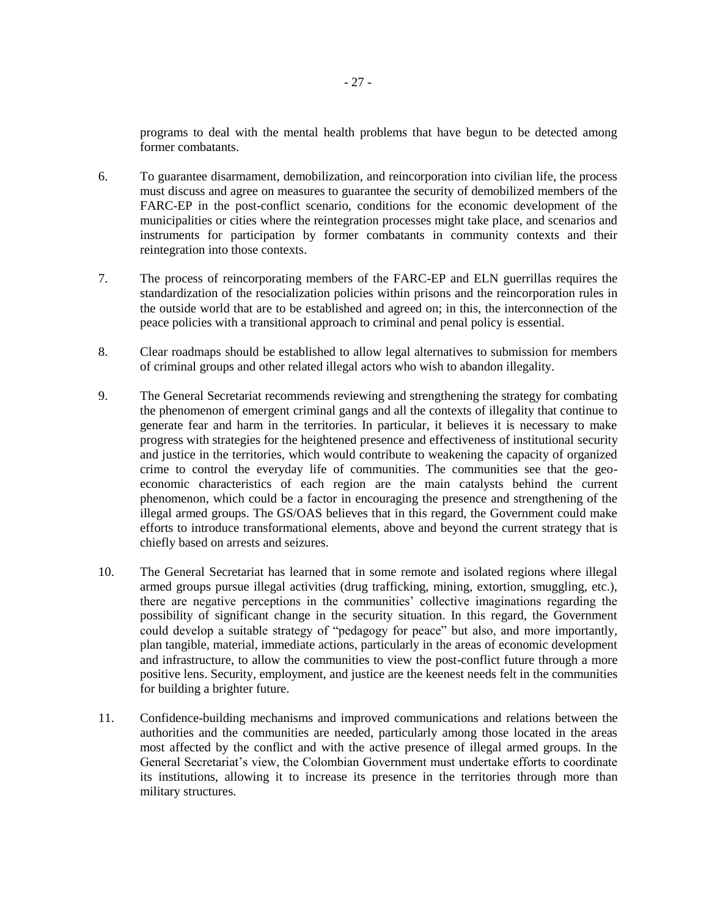programs to deal with the mental health problems that have begun to be detected among former combatants.

- 6. To guarantee disarmament, demobilization, and reincorporation into civilian life, the process must discuss and agree on measures to guarantee the security of demobilized members of the FARC-EP in the post-conflict scenario, conditions for the economic development of the municipalities or cities where the reintegration processes might take place, and scenarios and instruments for participation by former combatants in community contexts and their reintegration into those contexts.
- 7. The process of reincorporating members of the FARC-EP and ELN guerrillas requires the standardization of the resocialization policies within prisons and the reincorporation rules in the outside world that are to be established and agreed on; in this, the interconnection of the peace policies with a transitional approach to criminal and penal policy is essential.
- 8. Clear roadmaps should be established to allow legal alternatives to submission for members of criminal groups and other related illegal actors who wish to abandon illegality.
- 9. The General Secretariat recommends reviewing and strengthening the strategy for combating the phenomenon of emergent criminal gangs and all the contexts of illegality that continue to generate fear and harm in the territories. In particular, it believes it is necessary to make progress with strategies for the heightened presence and effectiveness of institutional security and justice in the territories, which would contribute to weakening the capacity of organized crime to control the everyday life of communities. The communities see that the geoeconomic characteristics of each region are the main catalysts behind the current phenomenon, which could be a factor in encouraging the presence and strengthening of the illegal armed groups. The GS/OAS believes that in this regard, the Government could make efforts to introduce transformational elements, above and beyond the current strategy that is chiefly based on arrests and seizures.
- 10. The General Secretariat has learned that in some remote and isolated regions where illegal armed groups pursue illegal activities (drug trafficking, mining, extortion, smuggling, etc.), there are negative perceptions in the communities' collective imaginations regarding the possibility of significant change in the security situation. In this regard, the Government could develop a suitable strategy of "pedagogy for peace" but also, and more importantly, plan tangible, material, immediate actions, particularly in the areas of economic development and infrastructure, to allow the communities to view the post-conflict future through a more positive lens. Security, employment, and justice are the keenest needs felt in the communities for building a brighter future.
- 11. Confidence-building mechanisms and improved communications and relations between the authorities and the communities are needed, particularly among those located in the areas most affected by the conflict and with the active presence of illegal armed groups. In the General Secretariat's view, the Colombian Government must undertake efforts to coordinate its institutions, allowing it to increase its presence in the territories through more than military structures.